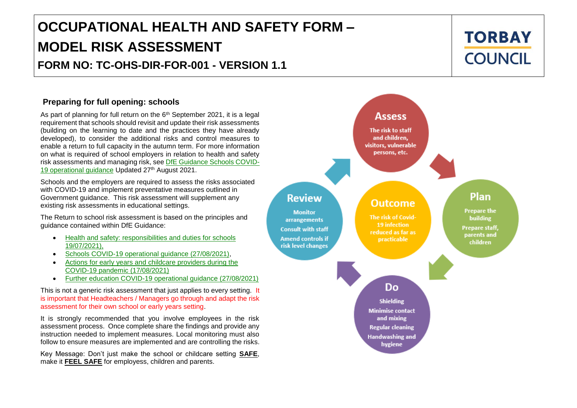# **OCCUPATIONAL HEALTH AND SAFETY FORM – MODEL RISK ASSESSMENT FORM NO: TC-OHS-DIR-FOR-001 - VERSION 1.1**

#### **Preparing for full opening: schools**

As part of planning for full return on the  $6<sup>th</sup>$  September 2021, it is a legal requirement that schools should revisit and update their risk assessments (building on the learning to date and the practices they have already developed), to consider the additional risks and control measures to enable a return to full capacity in the autumn term. For more information on what is required of school employers in relation to health and safety risk assessments and managing risk, see [DfE Guidance Schools COVID-](https://www.gov.uk/government/publications/actions-for-schools-during-the-coronavirus-outbreak/schools-covid-19-operational-guidance?utm_source=18%20August%202021%20C19&utm_medium=Daily%20Email%20C19&utm_campaign=DfE%20C19#stepping)[19 operational guidance](https://www.gov.uk/government/publications/actions-for-schools-during-the-coronavirus-outbreak/schools-covid-19-operational-guidance?utm_source=18%20August%202021%20C19&utm_medium=Daily%20Email%20C19&utm_campaign=DfE%20C19#stepping) Updated 27th August 2021.

Schools and the employers are required to assess the risks associated with COVID-19 and implement preventative measures outlined in Government guidance. This risk assessment will supplement any existing risk assessments in educational settings.

The Return to school risk assessment is based on the principles and guidance contained within DfE Guidance:

- Health and safety: responsibilities and duties for schools [19/07/2021\),](https://www.gov.uk/government/publications/health-and-safety-advice-for-schools/responsibilities-and-duties-for-schools)
- [Schools COVID-19 operational guidance \(27/08/2021\),](https://www.gov.uk/government/publications/actions-for-schools-during-the-coronavirus-outbreak/schools-covid-19-operational-guidance?utm_source=18%20August%202021%20C19&utm_medium=Daily%20Email%20C19&utm_campaign=DfE%20C19#tracing)
- [Actions for early years and childcare providers during the](https://www.gov.uk/government/publications/coronavirus-covid-19-early-years-and-childcare-closures/actions-for-early-years-and-childcare-providers-during-the-covid-19-pandemic)  [COVID-19 pandemic \(17/08/2021\)](https://www.gov.uk/government/publications/coronavirus-covid-19-early-years-and-childcare-closures/actions-for-early-years-and-childcare-providers-during-the-covid-19-pandemic)
- [Further education COVID-19 operational guidance \(27/08/2021\)](https://www.gov.uk/government/publications/coronavirus-covid-19-maintaining-further-education-provision/further-education-covid-19-operational-guidance)

This is not a generic risk assessment that just applies to every setting. It is important that Headteachers / Managers go through and adapt the risk assessment for their own school or early years setting.

It is strongly recommended that you involve employees in the risk assessment process. Once complete share the findings and provide any instruction needed to implement measures. Local monitoring must also follow to ensure measures are implemented and are controlling the risks.

Key Message: Don't just make the school or childcare setting **SAFE**,<br>make it **FFFL SAFF** for employess, children and parents make it **FEEL SAFE** for employess, children and parents.



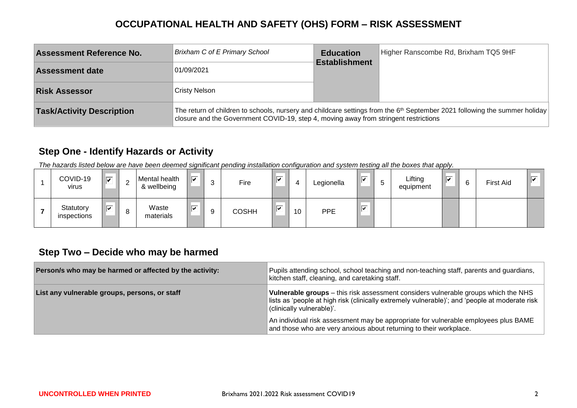| <b>Assessment Reference No.</b>  | Brixham C of E Primary School                                                        | <b>Education</b>     | Higher Ranscombe Rd, Brixham TQ5 9HF                                                                                         |
|----------------------------------|--------------------------------------------------------------------------------------|----------------------|------------------------------------------------------------------------------------------------------------------------------|
| <b>Assessment date</b>           | 01/09/2021                                                                           | <b>Establishment</b> |                                                                                                                              |
| <b>Risk Assessor</b>             | <b>Cristy Nelson</b>                                                                 |                      |                                                                                                                              |
| <b>Task/Activity Description</b> | closure and the Government COVID-19, step 4, moving away from stringent restrictions |                      | The return of children to schools, nursery and childcare settings from the $6th$ September 2021 following the summer holiday |

#### **Step One - Identify Hazards or Activity**

*The hazards listed below are have been deemed significant pending installation configuration and system testing all the boxes that apply.*

| COVID-19<br>virus        | $\overline{}$ | ⌒ | Mental health<br>& wellbeing | ⋤ | ົ<br>u | Fire         | ⊽ | 4  | Legionella | ⊽ | Lifting<br>equipment | $-$<br>⊛ | ⌒ | <b>First Aid</b> | $-$<br>ତ |
|--------------------------|---------------|---|------------------------------|---|--------|--------------|---|----|------------|---|----------------------|----------|---|------------------|----------|
| Statutory<br>inspections | $-$           | 8 | Waste<br>materials           | ☞ |        | <b>COSHH</b> | ⊽ | 10 | <b>PPE</b> | ⊽ |                      |          |   |                  |          |

#### **Step Two – Decide who may be harmed**

| Person/s who may be harmed or affected by the activity: | Pupils attending school, school teaching and non-teaching staff, parents and guardians,<br>kitchen staff, cleaning, and caretaking staff.                                                                                |
|---------------------------------------------------------|--------------------------------------------------------------------------------------------------------------------------------------------------------------------------------------------------------------------------|
| List any vulnerable groups, persons, or staff           | <b>Vulnerable groups</b> – this risk assessment considers vulnerable groups which the NHS<br>lists as 'people at high risk (clinically extremely vulnerable)'; and 'people at moderate risk<br>(clinically vulnerable)'. |
|                                                         | An individual risk assessment may be appropriate for vulnerable employees plus BAME<br>and those who are very anxious about returning to their workplace.                                                                |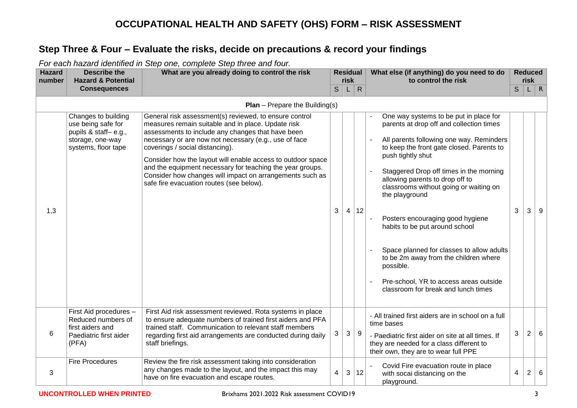#### **Step Three & Four – Evaluate the risks, decide on precautions & record your findings**

*For each hazard identified in Step one, complete Step three and four.*

| <b>Hazard</b><br>number | <b>Describe the</b><br><b>Hazard &amp; Potential</b>                                                         | What are you already doing to control the risk                                                                                                                                                                                                                                                                                                                                                                                                                                                    |    | <b>Residual</b><br>risk |              | What else (if anything) do you need to do<br>to control the risk                                                                                                                                                                                                                                                                                                                                                                                                                                                                                                                                     |   | <b>Reduced</b><br>risk |            |
|-------------------------|--------------------------------------------------------------------------------------------------------------|---------------------------------------------------------------------------------------------------------------------------------------------------------------------------------------------------------------------------------------------------------------------------------------------------------------------------------------------------------------------------------------------------------------------------------------------------------------------------------------------------|----|-------------------------|--------------|------------------------------------------------------------------------------------------------------------------------------------------------------------------------------------------------------------------------------------------------------------------------------------------------------------------------------------------------------------------------------------------------------------------------------------------------------------------------------------------------------------------------------------------------------------------------------------------------------|---|------------------------|------------|
|                         | <b>Consequences</b>                                                                                          |                                                                                                                                                                                                                                                                                                                                                                                                                                                                                                   | S. | L.                      | $\mathsf{R}$ |                                                                                                                                                                                                                                                                                                                                                                                                                                                                                                                                                                                                      | S |                        | $L \mid R$ |
|                         |                                                                                                              | <b>Plan</b> – Prepare the Building(s)                                                                                                                                                                                                                                                                                                                                                                                                                                                             |    |                         |              |                                                                                                                                                                                                                                                                                                                                                                                                                                                                                                                                                                                                      |   |                        |            |
| 1,3                     | Changes to building<br>use being safe for<br>pupils & staff-e.g.,<br>storage, one-way<br>systems, floor tape | General risk assessment(s) reviewed, to ensure control<br>measures remain suitable and in place. Update risk<br>assessments to include any changes that have been<br>necessary or are now not necessary (e.g., use of face<br>coverings / social distancing).<br>Consider how the layout will enable access to outdoor space<br>and the equipment necessary for teaching the year groups.<br>Consider how changes will impact on arrangements such as<br>safe fire evacuation routes (see below). | 3  | $\overline{4}$          | 12           | One way systems to be put in place for<br>parents at drop off and collection times<br>All parents following one way. Reminders<br>to keep the front gate closed. Parents to<br>push tightly shut<br>Staggered Drop off times in the morning<br>allowing parents to drop off to<br>classrooms without going or waiting on<br>the playground<br>Posters encouraging good hygiene<br>habits to be put around school<br>Space planned for classes to allow adults<br>to be 2m away from the children where<br>possible.<br>Pre-school, YR to access areas outside<br>classroom for break and lunch times | 3 | 3                      | 9          |
| 6                       | First Aid procedures -<br>Reduced numbers of<br>first aiders and<br>Paediatric first aider<br>(PFA)          | First Aid risk assessment reviewed. Rota systems in place<br>to ensure adequate numbers of trained first aiders and PFA<br>trained staff. Communication to relevant staff members<br>regarding first aid arrangements are conducted during daily<br>staff briefings.                                                                                                                                                                                                                              | 3  | 3                       | 9            | - All trained first aiders are in school on a full<br>time bases<br>- Paediatric first aider on site at all times. If<br>they are needed for a class different to<br>their own, they are to wear full PPE                                                                                                                                                                                                                                                                                                                                                                                            | 3 | $\overline{2}$         | 6          |
| 3                       | <b>Fire Procedures</b>                                                                                       | Review the fire risk assessment taking into consideration<br>any changes made to the layout, and the impact this may<br>have on fire evacuation and escape routes.                                                                                                                                                                                                                                                                                                                                | 4  | 3                       | 12           | Covid Fire evacuation route in place<br>with socai distancing on the<br>playground.                                                                                                                                                                                                                                                                                                                                                                                                                                                                                                                  | 4 | $\overline{2}$         | 6          |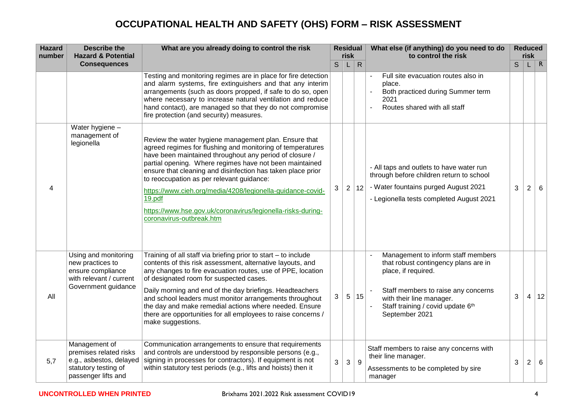| <b>Hazard</b><br>number | <b>Describe the</b><br><b>Hazard &amp; Potential</b>                                                              | What are you already doing to control the risk                                                                                                                                                                                                                                                                                                                                                                                                                                                                           |   | <b>Residual</b><br>risk |              | What else (if anything) do you need to do<br>to control the risk                                                                                                                                                            | <b>Reduced</b><br>risk |                |          |
|-------------------------|-------------------------------------------------------------------------------------------------------------------|--------------------------------------------------------------------------------------------------------------------------------------------------------------------------------------------------------------------------------------------------------------------------------------------------------------------------------------------------------------------------------------------------------------------------------------------------------------------------------------------------------------------------|---|-------------------------|--------------|-----------------------------------------------------------------------------------------------------------------------------------------------------------------------------------------------------------------------------|------------------------|----------------|----------|
|                         | <b>Consequences</b>                                                                                               |                                                                                                                                                                                                                                                                                                                                                                                                                                                                                                                          | S | L                       | $\mathsf{R}$ |                                                                                                                                                                                                                             | S                      |                | $\mid R$ |
|                         |                                                                                                                   | Testing and monitoring regimes are in place for fire detection<br>and alarm systems, fire extinguishers and that any interim<br>arrangements (such as doors propped, if safe to do so, open<br>where necessary to increase natural ventilation and reduce<br>hand contact), are managed so that they do not compromise<br>fire protection (and security) measures.                                                                                                                                                       |   |                         |              | Full site evacuation routes also in<br>place.<br>Both practiced during Summer term<br>2021<br>Routes shared with all staff                                                                                                  |                        |                |          |
| 4                       | Water hygiene -<br>management of<br>legionella                                                                    | Review the water hygiene management plan. Ensure that<br>agreed regimes for flushing and monitoring of temperatures<br>have been maintained throughout any period of closure /<br>partial opening. Where regimes have not been maintained<br>ensure that cleaning and disinfection has taken place prior<br>to reoccupation as per relevant guidance:<br>https://www.cieh.org/media/4208/legionella-guidance-covid-<br>19.pdf<br>https://www.hse.gov.uk/coronavirus/legionella-risks-during-<br>coronavirus-outbreak.htm | 3 | 2 <sup>1</sup>          | 12           | - All taps and outlets to have water run<br>through before children return to school<br>- Water fountains purged August 2021<br>- Legionella tests completed August 2021                                                    | 3                      | $\overline{2}$ | 6        |
| All                     | Using and monitoring<br>new practices to<br>ensure compliance<br>with relevant / current<br>Government guidance   | Training of all staff via briefing prior to start - to include<br>contents of this risk assessment, alternative layouts, and<br>any changes to fire evacuation routes, use of PPE, location<br>of designated room for suspected cases.<br>Daily morning and end of the day briefings. Headteachers<br>and school leaders must monitor arrangements throughout<br>the day and make remedial actions where needed. Ensure<br>there are opportunities for all employees to raise concerns /<br>make suggestions.            | 3 | 5                       | 15           | Management to inform staff members<br>that robust contingency plans are in<br>place, if required.<br>Staff members to raise any concerns<br>with their line manager.<br>Staff training / covid update 6th<br>September 2021 | 3                      |                | 4 12     |
| 5,7                     | Management of<br>premises related risks<br>e.g., asbestos, delayed<br>statutory testing of<br>passenger lifts and | Communication arrangements to ensure that requirements<br>and controls are understood by responsible persons (e.g.,<br>signing in processes for contractors). If equipment is not<br>within statutory test periods (e.g., lifts and hoists) then it                                                                                                                                                                                                                                                                      | 3 | 3                       | 9            | Staff members to raise any concerns with<br>their line manager.<br>Assessments to be completed by sire<br>manager                                                                                                           | $\mathbf{3}$           | $\overline{2}$ | 6        |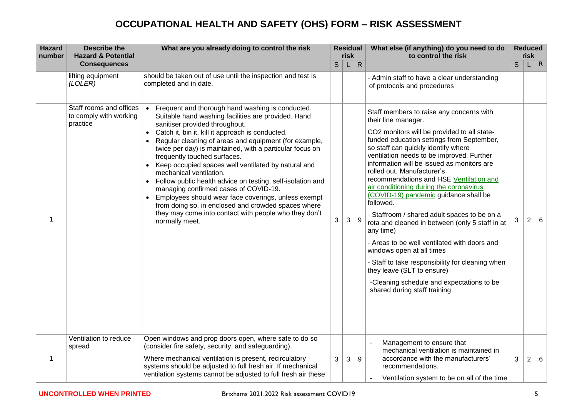| <b>Hazard</b><br>number | <b>Describe the</b><br><b>Hazard &amp; Potential</b>          | What are you already doing to control the risk                                                                                                                                                                                                                                                                                                                                                                                                                                                                                                                                                                                                                                                                                       | <b>Residual</b><br>risk |   |                  | What else (if anything) do you need to do<br>to control the risk                                                                                                                                                                                                                                                                                                                                                                                                                                                                                                                                                                                                                                                                                                                                                                  |              | <b>Reduced</b><br>risk |                 |
|-------------------------|---------------------------------------------------------------|--------------------------------------------------------------------------------------------------------------------------------------------------------------------------------------------------------------------------------------------------------------------------------------------------------------------------------------------------------------------------------------------------------------------------------------------------------------------------------------------------------------------------------------------------------------------------------------------------------------------------------------------------------------------------------------------------------------------------------------|-------------------------|---|------------------|-----------------------------------------------------------------------------------------------------------------------------------------------------------------------------------------------------------------------------------------------------------------------------------------------------------------------------------------------------------------------------------------------------------------------------------------------------------------------------------------------------------------------------------------------------------------------------------------------------------------------------------------------------------------------------------------------------------------------------------------------------------------------------------------------------------------------------------|--------------|------------------------|-----------------|
|                         | <b>Consequences</b>                                           |                                                                                                                                                                                                                                                                                                                                                                                                                                                                                                                                                                                                                                                                                                                                      | $\mathsf S$             | L | ${\sf R}$        |                                                                                                                                                                                                                                                                                                                                                                                                                                                                                                                                                                                                                                                                                                                                                                                                                                   | $\mathsf{S}$ |                        | $\mathsf{R}$    |
|                         | lifting equipment<br>(LOLER)                                  | should be taken out of use until the inspection and test is<br>completed and in date.                                                                                                                                                                                                                                                                                                                                                                                                                                                                                                                                                                                                                                                |                         |   |                  | - Admin staff to have a clear understanding<br>of protocols and procedures                                                                                                                                                                                                                                                                                                                                                                                                                                                                                                                                                                                                                                                                                                                                                        |              |                        |                 |
| 1                       | Staff rooms and offices<br>to comply with working<br>practice | Frequent and thorough hand washing is conducted.<br>Suitable hand washing facilities are provided. Hand<br>sanitiser provided throughout.<br>Catch it, bin it, kill it approach is conducted.<br>Regular cleaning of areas and equipment (for example,<br>twice per day) is maintained, with a particular focus on<br>frequently touched surfaces.<br>Keep occupied spaces well ventilated by natural and<br>mechanical ventilation.<br>Follow public health advice on testing, self-isolation and<br>managing confirmed cases of COVID-19.<br>Employees should wear face coverings, unless exempt<br>from doing so, in enclosed and crowded spaces where<br>they may come into contact with people who they don't<br>normally meet. | 3                       | 3 | $\boldsymbol{9}$ | Staff members to raise any concerns with<br>their line manager.<br>CO2 monitors will be provided to all state-<br>funded education settings from September,<br>so staff can quickly identify where<br>ventilation needs to be improved. Further<br>information will be issued as monitors are<br>rolled out. Manufacturer's<br>recommendations and HSE Ventilation and<br>air conditioning during the coronavirus<br>(COVID-19) pandemic guidance shall be<br>followed.<br>Staffroom / shared adult spaces to be on a<br>rota and cleaned in between (only 5 staff in at<br>any time)<br>- Areas to be well ventilated with doors and<br>windows open at all times<br>- Staff to take responsibility for cleaning when<br>they leave (SLT to ensure)<br>-Cleaning schedule and expectations to be<br>shared during staff training | 3            | $\overline{2}$         | $6\phantom{1}$  |
| 1                       | Ventilation to reduce<br>spread                               | Open windows and prop doors open, where safe to do so<br>(consider fire safety, security, and safeguarding).<br>Where mechanical ventilation is present, recirculatory<br>systems should be adjusted to full fresh air. If mechanical<br>ventilation systems cannot be adjusted to full fresh air these                                                                                                                                                                                                                                                                                                                                                                                                                              | 3                       | 3 | 9                | Management to ensure that<br>mechanical ventilation is maintained in<br>accordance with the manufacturers'<br>recommendations.                                                                                                                                                                                                                                                                                                                                                                                                                                                                                                                                                                                                                                                                                                    | 3            | $\overline{2}$         | $6\phantom{1}6$ |
|                         |                                                               |                                                                                                                                                                                                                                                                                                                                                                                                                                                                                                                                                                                                                                                                                                                                      |                         |   |                  | Ventilation system to be on all of the time                                                                                                                                                                                                                                                                                                                                                                                                                                                                                                                                                                                                                                                                                                                                                                                       |              |                        |                 |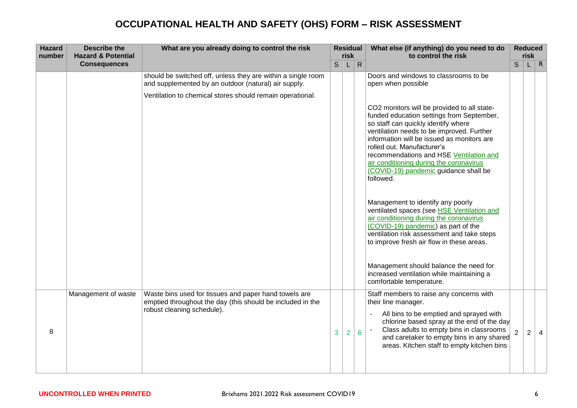| <b>Hazard</b><br>number | <b>Describe the</b><br><b>Hazard &amp; Potential</b> | What are you already doing to control the risk                                                                                                    |              | <b>Residual</b><br>risk |                 | What else (if anything) do you need to do<br>to control the risk                                                                                                                                                                                                                                                                                                                                     |                | <b>Reduced</b><br>risk |     |
|-------------------------|------------------------------------------------------|---------------------------------------------------------------------------------------------------------------------------------------------------|--------------|-------------------------|-----------------|------------------------------------------------------------------------------------------------------------------------------------------------------------------------------------------------------------------------------------------------------------------------------------------------------------------------------------------------------------------------------------------------------|----------------|------------------------|-----|
|                         | <b>Consequences</b>                                  |                                                                                                                                                   | $\mathsf{S}$ | L.                      | $\mathsf{R}$    |                                                                                                                                                                                                                                                                                                                                                                                                      | $\mathsf{S}$   |                        | L R |
|                         |                                                      | should be switched off, unless they are within a single room<br>and supplemented by an outdoor (natural) air supply.                              |              |                         |                 | Doors and windows to classrooms to be<br>open when possible                                                                                                                                                                                                                                                                                                                                          |                |                        |     |
|                         |                                                      | Ventilation to chemical stores should remain operational.                                                                                         |              |                         |                 | CO2 monitors will be provided to all state-<br>funded education settings from September,<br>so staff can quickly identify where<br>ventilation needs to be improved. Further<br>information will be issued as monitors are<br>rolled out. Manufacturer's<br>recommendations and HSE Ventilation and<br>air conditioning during the coronavirus<br>(COVID-19) pandemic guidance shall be<br>followed. |                |                        |     |
|                         |                                                      |                                                                                                                                                   |              |                         |                 | Management to identify any poorly<br>ventilated spaces (see HSE Ventilation and<br>air conditioning during the coronavirus<br>(COVID-19) pandemic) as part of the<br>ventilation risk assessment and take steps<br>to improve fresh air flow in these areas.                                                                                                                                         |                |                        |     |
|                         |                                                      |                                                                                                                                                   |              |                         |                 | Management should balance the need for<br>increased ventilation while maintaining a<br>comfortable temperature.                                                                                                                                                                                                                                                                                      |                |                        |     |
| 8                       | Management of waste                                  | Waste bins used for tissues and paper hand towels are<br>emptied throughout the day (this should be included in the<br>robust cleaning schedule). | 3            | $\overline{2}$          | $6\phantom{1}6$ | Staff members to raise any concerns with<br>their line manager.<br>All bins to be emptied and sprayed with<br>chlorine based spray at the end of the day<br>Class adults to empty bins in classrooms<br>and caretaker to empty bins in any shared<br>areas. Kitchen staff to empty kitchen bins                                                                                                      | $\overline{2}$ | 2                      |     |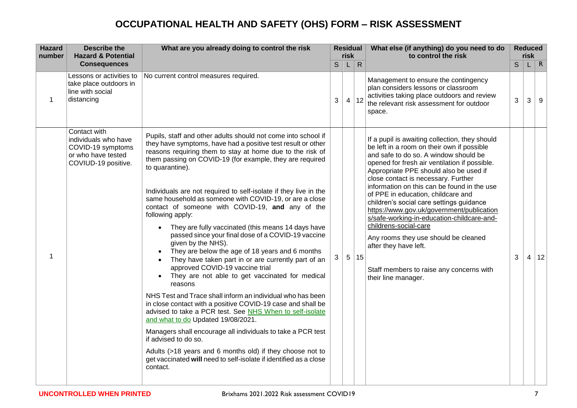| <b>Hazard</b><br>number | <b>Describe the</b><br><b>Hazard &amp; Potential</b>                                                   | What are you already doing to control the risk                                                                                                                                                                                                                                                                                                                                                                                                                                                                                                                                                                                                                                                                                                                                                                                                                                                                                                                                                                                                                                                                                                                                                                                                                                                                 | <b>Residual</b><br>risk |                |              | What else (if anything) do you need to do<br>to control the risk                                                                                                                                                                                                                                                                                                                                                                                                                                                                                                                                                                                                 |   | <b>Reduced</b><br><b>risk</b> |              |
|-------------------------|--------------------------------------------------------------------------------------------------------|----------------------------------------------------------------------------------------------------------------------------------------------------------------------------------------------------------------------------------------------------------------------------------------------------------------------------------------------------------------------------------------------------------------------------------------------------------------------------------------------------------------------------------------------------------------------------------------------------------------------------------------------------------------------------------------------------------------------------------------------------------------------------------------------------------------------------------------------------------------------------------------------------------------------------------------------------------------------------------------------------------------------------------------------------------------------------------------------------------------------------------------------------------------------------------------------------------------------------------------------------------------------------------------------------------------|-------------------------|----------------|--------------|------------------------------------------------------------------------------------------------------------------------------------------------------------------------------------------------------------------------------------------------------------------------------------------------------------------------------------------------------------------------------------------------------------------------------------------------------------------------------------------------------------------------------------------------------------------------------------------------------------------------------------------------------------------|---|-------------------------------|--------------|
|                         | <b>Consequences</b>                                                                                    |                                                                                                                                                                                                                                                                                                                                                                                                                                                                                                                                                                                                                                                                                                                                                                                                                                                                                                                                                                                                                                                                                                                                                                                                                                                                                                                | S                       | L.             | $\mathsf{R}$ |                                                                                                                                                                                                                                                                                                                                                                                                                                                                                                                                                                                                                                                                  | S |                               | $\mathsf{R}$ |
| 1                       | Lessons or activities to<br>take place outdoors in<br>line with social<br>distancing                   | No current control measures required.                                                                                                                                                                                                                                                                                                                                                                                                                                                                                                                                                                                                                                                                                                                                                                                                                                                                                                                                                                                                                                                                                                                                                                                                                                                                          | 3                       |                | 4 12         | Management to ensure the contingency<br>plan considers lessons or classroom<br>activities taking place outdoors and review<br>the relevant risk assessment for outdoor<br>space.                                                                                                                                                                                                                                                                                                                                                                                                                                                                                 | 3 | 3                             | 9            |
| 1                       | Contact with<br>individuals who have<br>COVID-19 symptoms<br>or who have tested<br>COVIUD-19 positive. | Pupils, staff and other adults should not come into school if<br>they have symptoms, have had a positive test result or other<br>reasons requiring them to stay at home due to the risk of<br>them passing on COVID-19 (for example, they are required<br>to quarantine).<br>Individuals are not required to self-isolate if they live in the<br>same household as someone with COVID-19, or are a close<br>contact of someone with COVID-19, and any of the<br>following apply:<br>They are fully vaccinated (this means 14 days have<br>$\bullet$<br>passed since your final dose of a COVID-19 vaccine<br>given by the NHS).<br>They are below the age of 18 years and 6 months<br>They have taken part in or are currently part of an<br>approved COVID-19 vaccine trial<br>They are not able to get vaccinated for medical<br>reasons<br>NHS Test and Trace shall inform an individual who has been<br>in close contact with a positive COVID-19 case and shall be<br>advised to take a PCR test. See NHS When to self-isolate<br>and what to do Updated 19/08/2021.<br>Managers shall encourage all individuals to take a PCR test<br>if advised to do so.<br>Adults (>18 years and 6 months old) if they choose not to<br>get vaccinated will need to self-isolate if identified as a close<br>contact. | 3                       | 5 <sup>1</sup> | 15           | If a pupil is awaiting collection, they should<br>be left in a room on their own if possible<br>and safe to do so. A window should be<br>opened for fresh air ventilation if possible.<br>Appropriate PPE should also be used if<br>close contact is necessary. Further<br>information on this can be found in the use<br>of PPE in education, childcare and<br>children's social care settings guidance<br>https://www.gov.uk/government/publication<br>s/safe-working-in-education-childcare-and-<br>childrens-social-care<br>Any rooms they use should be cleaned<br>after they have left.<br>Staff members to raise any concerns with<br>their line manager. | 3 | 4                             | 12           |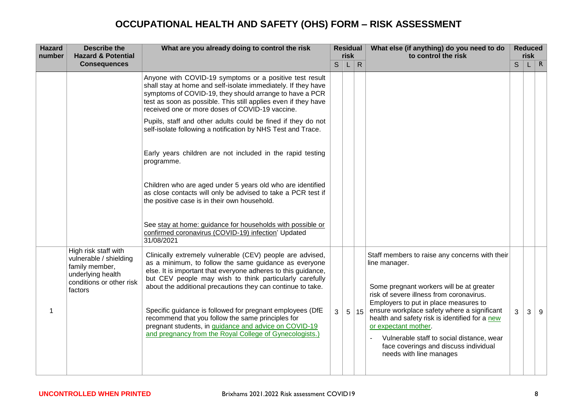| <b>Hazard</b><br>number | <b>Describe the</b><br><b>Hazard &amp; Potential</b>                                                                         | What are you already doing to control the risk                                                                                                                                                                                                                                                                                                                                                                                  |   | <b>Residual</b><br>risk |              | What else (if anything) do you need to do<br>to control the risk                                                                                                                                                                                                                                  | <b>Reduced</b><br>risk |   |            |
|-------------------------|------------------------------------------------------------------------------------------------------------------------------|---------------------------------------------------------------------------------------------------------------------------------------------------------------------------------------------------------------------------------------------------------------------------------------------------------------------------------------------------------------------------------------------------------------------------------|---|-------------------------|--------------|---------------------------------------------------------------------------------------------------------------------------------------------------------------------------------------------------------------------------------------------------------------------------------------------------|------------------------|---|------------|
|                         | <b>Consequences</b>                                                                                                          |                                                                                                                                                                                                                                                                                                                                                                                                                                 | S | L.                      | $\mathsf{R}$ |                                                                                                                                                                                                                                                                                                   | S                      |   | $L \mid R$ |
|                         |                                                                                                                              | Anyone with COVID-19 symptoms or a positive test result<br>shall stay at home and self-isolate immediately. If they have<br>symptoms of COVID-19, they should arrange to have a PCR<br>test as soon as possible. This still applies even if they have<br>received one or more doses of COVID-19 vaccine.                                                                                                                        |   |                         |              |                                                                                                                                                                                                                                                                                                   |                        |   |            |
|                         |                                                                                                                              | Pupils, staff and other adults could be fined if they do not<br>self-isolate following a notification by NHS Test and Trace.                                                                                                                                                                                                                                                                                                    |   |                         |              |                                                                                                                                                                                                                                                                                                   |                        |   |            |
|                         |                                                                                                                              | Early years children are not included in the rapid testing<br>programme.                                                                                                                                                                                                                                                                                                                                                        |   |                         |              |                                                                                                                                                                                                                                                                                                   |                        |   |            |
|                         |                                                                                                                              | Children who are aged under 5 years old who are identified<br>as close contacts will only be advised to take a PCR test if<br>the positive case is in their own household.                                                                                                                                                                                                                                                      |   |                         |              |                                                                                                                                                                                                                                                                                                   |                        |   |            |
|                         |                                                                                                                              | See stay at home: guidance for households with possible or<br>confirmed coronavirus (COVID-19) infection' Updated<br>31/08/2021                                                                                                                                                                                                                                                                                                 |   |                         |              |                                                                                                                                                                                                                                                                                                   |                        |   |            |
|                         | High risk staff with<br>vulnerable / shielding<br>family member,<br>underlying health<br>conditions or other risk<br>factors | Clinically extremely vulnerable (CEV) people are advised,<br>as a minimum, to follow the same guidance as everyone<br>else. It is important that everyone adheres to this guidance,<br>but CEV people may wish to think particularly carefully<br>about the additional precautions they can continue to take.<br>Specific guidance is followed for pregnant employees (DfE<br>recommend that you follow the same principles for | 3 | 5 <sup>1</sup>          | 15           | Staff members to raise any concerns with their<br>line manager.<br>Some pregnant workers will be at greater<br>risk of severe illness from coronavirus.<br>Employers to put in place measures to<br>ensure workplace safety where a significant<br>health and safety risk is identified for a new | 3                      | 3 | 9          |
|                         |                                                                                                                              | pregnant students, in guidance and advice on COVID-19<br>and pregnancy from the Royal College of Gynecologists.)                                                                                                                                                                                                                                                                                                                |   |                         |              | or expectant mother.<br>Vulnerable staff to social distance, wear<br>face coverings and discuss individual<br>needs with line manages                                                                                                                                                             |                        |   |            |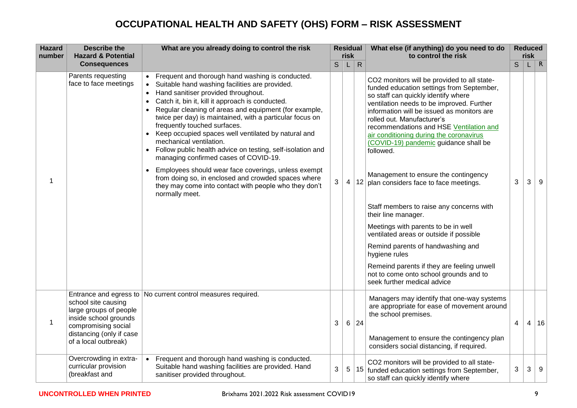| <b>Hazard</b><br>number | <b>Describe the</b><br><b>Hazard &amp; Potential</b>                                                                                              | What are you already doing to control the risk                                                                                                                                                                                                                                                                                                                                                                                                                                                                                                                                                                                                                                                                                                                   |   | risk           | <b>Residual</b> | What else (if anything) do you need to do<br>to control the risk                                                                                                                                                                                                                                                                                                                                                                                                                                                                                                                                                                                                                                                                                                                                                        |              |                | <b>Reduced</b><br>risk |
|-------------------------|---------------------------------------------------------------------------------------------------------------------------------------------------|------------------------------------------------------------------------------------------------------------------------------------------------------------------------------------------------------------------------------------------------------------------------------------------------------------------------------------------------------------------------------------------------------------------------------------------------------------------------------------------------------------------------------------------------------------------------------------------------------------------------------------------------------------------------------------------------------------------------------------------------------------------|---|----------------|-----------------|-------------------------------------------------------------------------------------------------------------------------------------------------------------------------------------------------------------------------------------------------------------------------------------------------------------------------------------------------------------------------------------------------------------------------------------------------------------------------------------------------------------------------------------------------------------------------------------------------------------------------------------------------------------------------------------------------------------------------------------------------------------------------------------------------------------------------|--------------|----------------|------------------------|
|                         | <b>Consequences</b>                                                                                                                               |                                                                                                                                                                                                                                                                                                                                                                                                                                                                                                                                                                                                                                                                                                                                                                  | S | L              | $\mathsf{R}$    |                                                                                                                                                                                                                                                                                                                                                                                                                                                                                                                                                                                                                                                                                                                                                                                                                         | $\mathsf{S}$ |                | $\mathsf{R}$           |
| 1                       | Parents requesting<br>face to face meetings                                                                                                       | • Frequent and thorough hand washing is conducted.<br>Suitable hand washing facilities are provided.<br>Hand sanitiser provided throughout.<br>$\bullet$<br>Catch it, bin it, kill it approach is conducted.<br>Regular cleaning of areas and equipment (for example,<br>twice per day) is maintained, with a particular focus on<br>frequently touched surfaces.<br>Keep occupied spaces well ventilated by natural and<br>mechanical ventilation.<br>Follow public health advice on testing, self-isolation and<br>managing confirmed cases of COVID-19.<br>Employees should wear face coverings, unless exempt<br>$\bullet$<br>from doing so, in enclosed and crowded spaces where<br>they may come into contact with people who they don't<br>normally meet. | 3 | $\overline{4}$ | 12              | CO2 monitors will be provided to all state-<br>funded education settings from September,<br>so staff can quickly identify where<br>ventilation needs to be improved. Further<br>information will be issued as monitors are<br>rolled out. Manufacturer's<br>recommendations and HSE Ventilation and<br>air conditioning during the coronavirus<br>(COVID-19) pandemic guidance shall be<br>followed.<br>Management to ensure the contingency<br>plan considers face to face meetings.<br>Staff members to raise any concerns with<br>their line manager.<br>Meetings with parents to be in well<br>ventilated areas or outside if possible<br>Remind parents of handwashing and<br>hygiene rules<br>Remeind parents if they are feeling unwell<br>not to come onto school grounds and to<br>seek further medical advice | 3            | 3              | 9                      |
| 1                       | school site causing<br>large groups of people<br>inside school grounds<br>compromising social<br>distancing (only if case<br>of a local outbreak) | Entrance and egress to No current control measures required.                                                                                                                                                                                                                                                                                                                                                                                                                                                                                                                                                                                                                                                                                                     | 3 | 6              | 24              | Managers may identify that one-way systems<br>are appropriate for ease of movement around<br>the school premises.<br>Management to ensure the contingency plan<br>considers social distancing, if required.                                                                                                                                                                                                                                                                                                                                                                                                                                                                                                                                                                                                             | 4            | $\overline{4}$ | 16                     |
|                         | Overcrowding in extra-<br>curricular provision<br>(breakfast and                                                                                  | Frequent and thorough hand washing is conducted.<br>$\bullet$<br>Suitable hand washing facilities are provided. Hand<br>sanitiser provided throughout.                                                                                                                                                                                                                                                                                                                                                                                                                                                                                                                                                                                                           | 3 | 5              | 15              | CO2 monitors will be provided to all state-<br>funded education settings from September,<br>so staff can quickly identify where                                                                                                                                                                                                                                                                                                                                                                                                                                                                                                                                                                                                                                                                                         | 3            | 3              | 9                      |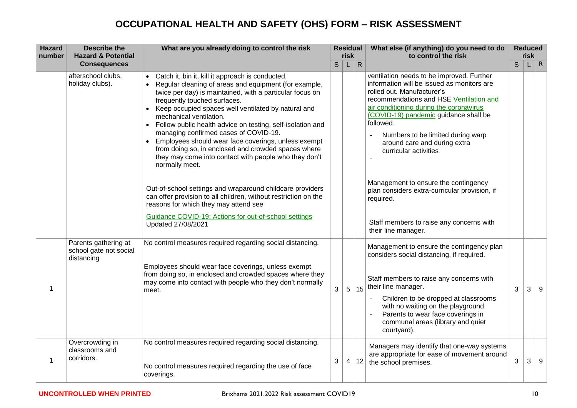| <b>Hazard</b><br>number | <b>Describe the</b><br><b>Hazard &amp; Potential</b>         | What are you already doing to control the risk                                                                                                                                                                                                                                                                                                                                                                                                                                                                                                                                                  |   | <b>Residual</b><br>risk |                | What else (if anything) do you need to do<br>to control the risk                                                                                                                                                                                                                                                                                                |             | <b>Reduced</b><br>risk |            |
|-------------------------|--------------------------------------------------------------|-------------------------------------------------------------------------------------------------------------------------------------------------------------------------------------------------------------------------------------------------------------------------------------------------------------------------------------------------------------------------------------------------------------------------------------------------------------------------------------------------------------------------------------------------------------------------------------------------|---|-------------------------|----------------|-----------------------------------------------------------------------------------------------------------------------------------------------------------------------------------------------------------------------------------------------------------------------------------------------------------------------------------------------------------------|-------------|------------------------|------------|
|                         | <b>Consequences</b>                                          |                                                                                                                                                                                                                                                                                                                                                                                                                                                                                                                                                                                                 | S | L                       | $\overline{R}$ |                                                                                                                                                                                                                                                                                                                                                                 | $\mathsf S$ |                        | $L \mid R$ |
|                         | afterschool clubs,<br>holiday clubs).                        | • Catch it, bin it, kill it approach is conducted.<br>• Regular cleaning of areas and equipment (for example,<br>twice per day) is maintained, with a particular focus on<br>frequently touched surfaces.<br>• Keep occupied spaces well ventilated by natural and<br>mechanical ventilation.<br>• Follow public health advice on testing, self-isolation and<br>managing confirmed cases of COVID-19.<br>Employees should wear face coverings, unless exempt<br>from doing so, in enclosed and crowded spaces where<br>they may come into contact with people who they don't<br>normally meet. |   |                         |                | ventilation needs to be improved. Further<br>information will be issued as monitors are<br>rolled out. Manufacturer's<br>recommendations and HSE Ventilation and<br>air conditioning during the coronavirus<br>(COVID-19) pandemic guidance shall be<br>followed.<br>Numbers to be limited during warp<br>around care and during extra<br>curricular activities |             |                        |            |
|                         |                                                              | Out-of-school settings and wraparound childcare providers<br>can offer provision to all children, without restriction on the<br>reasons for which they may attend see<br>Guidance COVID-19: Actions for out-of-school settings<br>Updated 27/08/2021                                                                                                                                                                                                                                                                                                                                            |   |                         |                | Management to ensure the contingency<br>plan considers extra-curricular provision, if<br>required.<br>Staff members to raise any concerns with<br>their line manager.                                                                                                                                                                                           |             |                        |            |
| -1                      | Parents gathering at<br>school gate not social<br>distancing | No control measures required regarding social distancing.<br>Employees should wear face coverings, unless exempt<br>from doing so, in enclosed and crowded spaces where they<br>may come into contact with people who they don't normally<br>meet.                                                                                                                                                                                                                                                                                                                                              | 3 | 5                       | 15             | Management to ensure the contingency plan<br>considers social distancing, if required.<br>Staff members to raise any concerns with<br>their line manager.<br>Children to be dropped at classrooms<br>with no waiting on the playground<br>Parents to wear face coverings in<br>communal areas (library and quiet<br>courtyard).                                 | 3           | 3                      | 9          |
| 1                       | Overcrowding in<br>classrooms and<br>corridors.              | No control measures required regarding social distancing.<br>No control measures required regarding the use of face<br>coverings.                                                                                                                                                                                                                                                                                                                                                                                                                                                               | 3 | 4                       | 12             | Managers may identify that one-way systems<br>are appropriate for ease of movement around<br>the school premises.                                                                                                                                                                                                                                               | 3           | 3                      | 9          |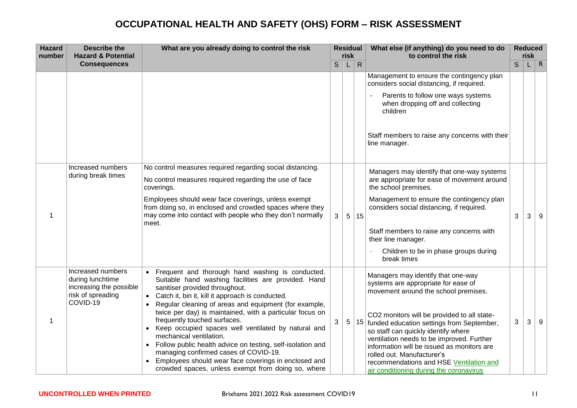| <b>Hazard</b><br>number | <b>Describe the</b><br><b>Hazard &amp; Potential</b>                                              | What are you already doing to control the risk                                                                                                                                                                                                                                                                                                                                                                                                                                                                                                                                                                                                                           |   | <b>Residual</b><br>risk |              | What else (if anything) do you need to do<br>to control the risk                                                                                                                                                                                                                                                                                                                                                                                                    |   | <b>Reduced</b><br>risk |          |
|-------------------------|---------------------------------------------------------------------------------------------------|--------------------------------------------------------------------------------------------------------------------------------------------------------------------------------------------------------------------------------------------------------------------------------------------------------------------------------------------------------------------------------------------------------------------------------------------------------------------------------------------------------------------------------------------------------------------------------------------------------------------------------------------------------------------------|---|-------------------------|--------------|---------------------------------------------------------------------------------------------------------------------------------------------------------------------------------------------------------------------------------------------------------------------------------------------------------------------------------------------------------------------------------------------------------------------------------------------------------------------|---|------------------------|----------|
|                         | <b>Consequences</b>                                                                               |                                                                                                                                                                                                                                                                                                                                                                                                                                                                                                                                                                                                                                                                          | S | L                       | $\mathsf{R}$ |                                                                                                                                                                                                                                                                                                                                                                                                                                                                     | S | L.                     | $\mid R$ |
|                         |                                                                                                   |                                                                                                                                                                                                                                                                                                                                                                                                                                                                                                                                                                                                                                                                          |   |                         |              | Management to ensure the contingency plan<br>considers social distancing, if required.<br>Parents to follow one ways systems<br>when dropping off and collecting<br>children<br>Staff members to raise any concerns with their<br>line manager.                                                                                                                                                                                                                     |   |                        |          |
| 1                       | Increased numbers<br>during break times                                                           | No control measures required regarding social distancing.<br>No control measures required regarding the use of face<br>coverings.<br>Employees should wear face coverings, unless exempt<br>from doing so, in enclosed and crowded spaces where they<br>may come into contact with people who they don't normally<br>meet.                                                                                                                                                                                                                                                                                                                                               | 3 | 5 <sup>1</sup>          | 15           | Managers may identify that one-way systems<br>are appropriate for ease of movement around<br>the school premises.<br>Management to ensure the contingency plan<br>considers social distancing, if required.<br>Staff members to raise any concerns with<br>their line manager.<br>Children to be in phase groups during<br>break times                                                                                                                              | 3 | 3                      | 9        |
| 1                       | Increased numbers<br>during lunchtime<br>increasing the possible<br>risk of spreading<br>COVID-19 | Frequent and thorough hand washing is conducted.<br>Suitable hand washing facilities are provided. Hand<br>sanitiser provided throughout.<br>• Catch it, bin it, kill it approach is conducted.<br>Regular cleaning of areas and equipment (for example,<br>twice per day) is maintained, with a particular focus on<br>frequently touched surfaces.<br>Keep occupied spaces well ventilated by natural and<br>mechanical ventilation.<br>Follow public health advice on testing, self-isolation and<br>$\bullet$<br>managing confirmed cases of COVID-19.<br>Employees should wear face coverings in enclosed and<br>crowded spaces, unless exempt from doing so, where | 3 | 5 <sup>2</sup>          | 15           | Managers may identify that one-way<br>systems are appropriate for ease of<br>movement around the school premises.<br>CO2 monitors will be provided to all state-<br>funded education settings from September,<br>so staff can quickly identify where<br>ventilation needs to be improved. Further<br>information will be issued as monitors are<br>rolled out. Manufacturer's<br>recommendations and HSE Ventilation and<br>air conditioning during the coronavirus | 3 | 3                      | 9        |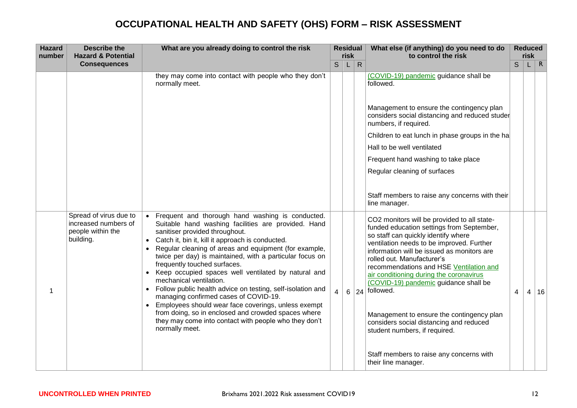| <b>Hazard</b><br>number | <b>Describe the</b><br><b>Hazard &amp; Potential</b>                             | What are you already doing to control the risk                                                                                                                                                                                                                                                                                                                                                                                                                                                                                                                                                                                                                                                                                             |                | <b>Residual</b><br>risk |              | What else (if anything) do you need to do<br>to control the risk                                                                                                                                                                                                                                                                                                                                                                                                                                                                     |   | <b>Reduced</b><br>risk |              |
|-------------------------|----------------------------------------------------------------------------------|--------------------------------------------------------------------------------------------------------------------------------------------------------------------------------------------------------------------------------------------------------------------------------------------------------------------------------------------------------------------------------------------------------------------------------------------------------------------------------------------------------------------------------------------------------------------------------------------------------------------------------------------------------------------------------------------------------------------------------------------|----------------|-------------------------|--------------|--------------------------------------------------------------------------------------------------------------------------------------------------------------------------------------------------------------------------------------------------------------------------------------------------------------------------------------------------------------------------------------------------------------------------------------------------------------------------------------------------------------------------------------|---|------------------------|--------------|
|                         | <b>Consequences</b>                                                              |                                                                                                                                                                                                                                                                                                                                                                                                                                                                                                                                                                                                                                                                                                                                            | $\mathsf{S}$   | L.                      | $\mathsf{R}$ |                                                                                                                                                                                                                                                                                                                                                                                                                                                                                                                                      | S | U                      | $\mathsf{R}$ |
|                         |                                                                                  | they may come into contact with people who they don't<br>normally meet.                                                                                                                                                                                                                                                                                                                                                                                                                                                                                                                                                                                                                                                                    |                |                         |              | (COVID-19) pandemic guidance shall be<br>followed.                                                                                                                                                                                                                                                                                                                                                                                                                                                                                   |   |                        |              |
|                         |                                                                                  |                                                                                                                                                                                                                                                                                                                                                                                                                                                                                                                                                                                                                                                                                                                                            |                |                         |              | Management to ensure the contingency plan<br>considers social distancing and reduced studer<br>numbers, if required.                                                                                                                                                                                                                                                                                                                                                                                                                 |   |                        |              |
|                         |                                                                                  |                                                                                                                                                                                                                                                                                                                                                                                                                                                                                                                                                                                                                                                                                                                                            |                |                         |              | Children to eat lunch in phase groups in the ha                                                                                                                                                                                                                                                                                                                                                                                                                                                                                      |   |                        |              |
|                         |                                                                                  |                                                                                                                                                                                                                                                                                                                                                                                                                                                                                                                                                                                                                                                                                                                                            |                |                         |              | Hall to be well ventilated                                                                                                                                                                                                                                                                                                                                                                                                                                                                                                           |   |                        |              |
|                         |                                                                                  |                                                                                                                                                                                                                                                                                                                                                                                                                                                                                                                                                                                                                                                                                                                                            |                |                         |              | Frequent hand washing to take place                                                                                                                                                                                                                                                                                                                                                                                                                                                                                                  |   |                        |              |
|                         |                                                                                  |                                                                                                                                                                                                                                                                                                                                                                                                                                                                                                                                                                                                                                                                                                                                            |                |                         |              | Regular cleaning of surfaces                                                                                                                                                                                                                                                                                                                                                                                                                                                                                                         |   |                        |              |
|                         |                                                                                  |                                                                                                                                                                                                                                                                                                                                                                                                                                                                                                                                                                                                                                                                                                                                            |                |                         |              | Staff members to raise any concerns with their<br>line manager.                                                                                                                                                                                                                                                                                                                                                                                                                                                                      |   |                        |              |
| 1                       | Spread of virus due to<br>increased numbers of<br>people within the<br>building. | • Frequent and thorough hand washing is conducted.<br>Suitable hand washing facilities are provided. Hand<br>sanitiser provided throughout.<br>Catch it, bin it, kill it approach is conducted.<br>Regular cleaning of areas and equipment (for example,<br>twice per day) is maintained, with a particular focus on<br>frequently touched surfaces.<br>• Keep occupied spaces well ventilated by natural and<br>mechanical ventilation.<br>• Follow public health advice on testing, self-isolation and<br>managing confirmed cases of COVID-19.<br>Employees should wear face coverings, unless exempt<br>from doing, so in enclosed and crowded spaces where<br>they may come into contact with people who they don't<br>normally meet. | $\overline{4}$ | 6                       |              | CO2 monitors will be provided to all state-<br>funded education settings from September,<br>so staff can quickly identify where<br>ventilation needs to be improved. Further<br>information will be issued as monitors are<br>rolled out. Manufacturer's<br>recommendations and HSE Ventilation and<br>air conditioning during the coronavirus<br>(COVID-19) pandemic guidance shall be<br>$ 24 $ followed.<br>Management to ensure the contingency plan<br>considers social distancing and reduced<br>student numbers, if required. | 4 | 4                      | 16           |
|                         |                                                                                  |                                                                                                                                                                                                                                                                                                                                                                                                                                                                                                                                                                                                                                                                                                                                            |                |                         |              | Staff members to raise any concerns with<br>their line manager.                                                                                                                                                                                                                                                                                                                                                                                                                                                                      |   |                        |              |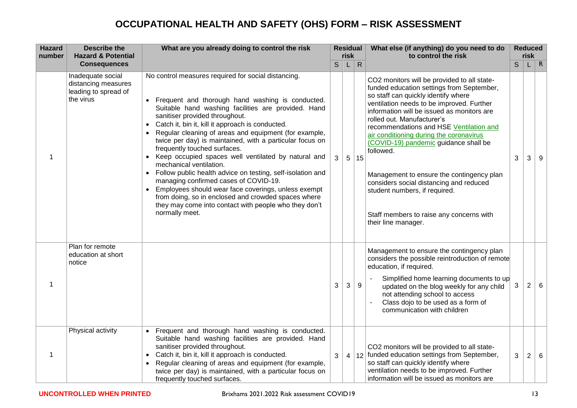| <b>Hazard</b><br>number | <b>Describe the</b><br><b>Hazard &amp; Potential</b>                          | What are you already doing to control the risk                                                                                                                                                                                                                                                                                                                                                                                                                                                                                                                                                                                                                                                                                                                                              |              | risk | <b>Residual</b> | What else (if anything) do you need to do<br>to control the risk                                                                                                                                                                                                                                                                                                                                                                                                                                                                                                                                 |              | <b>Reduced</b><br>risk |              |
|-------------------------|-------------------------------------------------------------------------------|---------------------------------------------------------------------------------------------------------------------------------------------------------------------------------------------------------------------------------------------------------------------------------------------------------------------------------------------------------------------------------------------------------------------------------------------------------------------------------------------------------------------------------------------------------------------------------------------------------------------------------------------------------------------------------------------------------------------------------------------------------------------------------------------|--------------|------|-----------------|--------------------------------------------------------------------------------------------------------------------------------------------------------------------------------------------------------------------------------------------------------------------------------------------------------------------------------------------------------------------------------------------------------------------------------------------------------------------------------------------------------------------------------------------------------------------------------------------------|--------------|------------------------|--------------|
|                         | <b>Consequences</b>                                                           |                                                                                                                                                                                                                                                                                                                                                                                                                                                                                                                                                                                                                                                                                                                                                                                             | $\mathsf{S}$ | L    | $\mathsf{R}$    |                                                                                                                                                                                                                                                                                                                                                                                                                                                                                                                                                                                                  | S            |                        | $\mathsf{R}$ |
| 1                       | Inadequate social<br>distancing measures<br>leading to spread of<br>the virus | No control measures required for social distancing.<br>Frequent and thorough hand washing is conducted.<br>Suitable hand washing facilities are provided. Hand<br>sanitiser provided throughout.<br>Catch it, bin it, kill it approach is conducted.<br>Regular cleaning of areas and equipment (for example,<br>twice per day) is maintained, with a particular focus on<br>frequently touched surfaces.<br>Keep occupied spaces well ventilated by natural and<br>mechanical ventilation.<br>Follow public health advice on testing, self-isolation and<br>managing confirmed cases of COVID-19.<br>Employees should wear face coverings, unless exempt<br>from doing, so in enclosed and crowded spaces where<br>they may come into contact with people who they don't<br>normally meet. | 3            |      | 5 15            | CO2 monitors will be provided to all state-<br>funded education settings from September,<br>so staff can quickly identify where<br>ventilation needs to be improved. Further<br>information will be issued as monitors are<br>rolled out. Manufacturer's<br>recommendations and HSE Ventilation and<br>air conditioning during the coronavirus<br>(COVID-19) pandemic guidance shall be<br>followed.<br>Management to ensure the contingency plan<br>considers social distancing and reduced<br>student numbers, if required.<br>Staff members to raise any concerns with<br>their line manager. | 3            | 3                      | 9            |
| 1                       | Plan for remote<br>education at short<br>notice                               |                                                                                                                                                                                                                                                                                                                                                                                                                                                                                                                                                                                                                                                                                                                                                                                             | 3            | 3    | 9               | Management to ensure the contingency plan<br>considers the possible reintroduction of remote<br>education, if required.<br>Simplified home learning documents to up<br>updated on the blog weekly for any child<br>not attending school to access<br>Class dojo to be used as a form of<br>communication with children                                                                                                                                                                                                                                                                           | 3            | 2                      | 6            |
| 1                       | Physical activity                                                             | Frequent and thorough hand washing is conducted.<br>Suitable hand washing facilities are provided. Hand<br>sanitiser provided throughout.<br>Catch it, bin it, kill it approach is conducted.<br>Regular cleaning of areas and equipment (for example,<br>twice per day) is maintained, with a particular focus on<br>frequently touched surfaces.                                                                                                                                                                                                                                                                                                                                                                                                                                          | 3            |      |                 | CO2 monitors will be provided to all state-<br>4   12   funded education settings from September,<br>so staff can quickly identify where<br>ventilation needs to be improved. Further<br>information will be issued as monitors are                                                                                                                                                                                                                                                                                                                                                              | $\mathbf{3}$ | 2                      | 6            |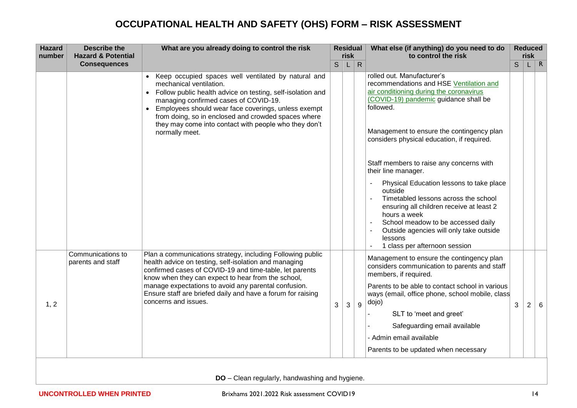| <b>Hazard</b><br>number | <b>Describe the</b><br><b>Hazard &amp; Potential</b> | What are you already doing to control the risk                                                                                                                                                                                                                                                                                                                                      |              | risk | <b>Residual</b> | What else (if anything) do you need to do<br>to control the risk                                                                                                                                                                                                                     |   | <b>Reduced</b><br>risk |   |
|-------------------------|------------------------------------------------------|-------------------------------------------------------------------------------------------------------------------------------------------------------------------------------------------------------------------------------------------------------------------------------------------------------------------------------------------------------------------------------------|--------------|------|-----------------|--------------------------------------------------------------------------------------------------------------------------------------------------------------------------------------------------------------------------------------------------------------------------------------|---|------------------------|---|
|                         | <b>Consequences</b>                                  |                                                                                                                                                                                                                                                                                                                                                                                     | $\mathsf{S}$ | L.   | $\mathsf{R}$    |                                                                                                                                                                                                                                                                                      | S | L                      | R |
|                         |                                                      | Keep occupied spaces well ventilated by natural and<br>mechanical ventilation.<br>• Follow public health advice on testing, self-isolation and<br>managing confirmed cases of COVID-19.<br>Employees should wear face coverings, unless exempt<br>$\bullet$<br>from doing, so in enclosed and crowded spaces where                                                                  |              |      |                 | rolled out. Manufacturer's<br>recommendations and HSE Ventilation and<br>air conditioning during the coronavirus<br>(COVID-19) pandemic guidance shall be<br>followed.                                                                                                               |   |                        |   |
|                         |                                                      | they may come into contact with people who they don't<br>normally meet.                                                                                                                                                                                                                                                                                                             |              |      |                 | Management to ensure the contingency plan<br>considers physical education, if required.                                                                                                                                                                                              |   |                        |   |
|                         |                                                      |                                                                                                                                                                                                                                                                                                                                                                                     |              |      |                 | Staff members to raise any concerns with<br>their line manager.                                                                                                                                                                                                                      |   |                        |   |
|                         |                                                      |                                                                                                                                                                                                                                                                                                                                                                                     |              |      |                 | Physical Education lessons to take place<br>outside<br>Timetabled lessons across the school<br>ensuring all children receive at least 2<br>hours a week<br>School meadow to be accessed daily<br>Outside agencies will only take outside<br>lessons<br>1 class per afternoon session |   |                        |   |
| 1, 2                    | Communications to<br>parents and staff               | Plan a communications strategy, including Following public<br>health advice on testing, self-isolation and managing<br>confirmed cases of COVID-19 and time-table, let parents<br>know when they can expect to hear from the school,<br>manage expectations to avoid any parental confusion.<br>Ensure staff are briefed daily and have a forum for raising<br>concerns and issues. | 3            | 3    | 9               | Management to ensure the contingency plan<br>considers communication to parents and staff<br>members, if required.<br>Parents to be able to contact school in various<br>ways (email, office phone, school mobile, class<br>dojo)                                                    | 3 | $\overline{c}$         | 6 |
|                         |                                                      |                                                                                                                                                                                                                                                                                                                                                                                     |              |      |                 | SLT to 'meet and greet'<br>Safeguarding email available<br>- Admin email available<br>Parents to be updated when necessary                                                                                                                                                           |   |                        |   |

**DO** – Clean regularly, handwashing and hygiene.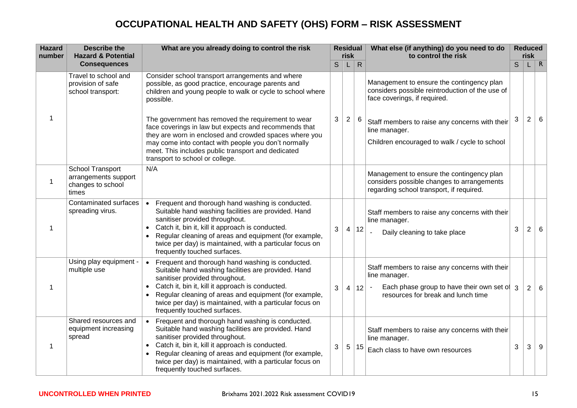| <b>Hazard</b><br>number | <b>Describe the</b><br><b>Hazard &amp; Potential</b>                   | What are you already doing to control the risk                                                                                                                                                                                                                                                                                                                    |   | <b>Residual</b><br>risk |              | What else (if anything) do you need to do<br>to control the risk                                                                                     |   | <b>Reduced</b><br>risk |          |
|-------------------------|------------------------------------------------------------------------|-------------------------------------------------------------------------------------------------------------------------------------------------------------------------------------------------------------------------------------------------------------------------------------------------------------------------------------------------------------------|---|-------------------------|--------------|------------------------------------------------------------------------------------------------------------------------------------------------------|---|------------------------|----------|
|                         | <b>Consequences</b>                                                    |                                                                                                                                                                                                                                                                                                                                                                   | S | L                       | $\mathsf{R}$ |                                                                                                                                                      | S | L.                     | $\mid R$ |
|                         | Travel to school and<br>provision of safe<br>school transport:         | Consider school transport arrangements and where<br>possible, as good practice, encourage parents and<br>children and young people to walk or cycle to school where<br>possible.                                                                                                                                                                                  |   |                         |              | Management to ensure the contingency plan<br>considers possible reintroduction of the use of<br>face coverings, if required.                         |   |                        |          |
| 1                       |                                                                        | The government has removed the requirement to wear<br>face coverings in law but expects and recommends that<br>they are worn in enclosed and crowded spaces where you<br>may come into contact with people you don't normally<br>meet. This includes public transport and dedicated<br>transport to school or college.                                            | 3 | $\overline{2}$          | 6            | Staff members to raise any concerns with their<br>line manager.<br>Children encouraged to walk / cycle to school                                     | 3 | $\overline{c}$         | 6        |
| 1                       | School Transport<br>arrangements support<br>changes to school<br>times | N/A                                                                                                                                                                                                                                                                                                                                                               |   |                         |              | Management to ensure the contingency plan<br>considers possible changes to arrangements<br>regarding school transport, if required.                  |   |                        |          |
| 1                       | Contaminated surfaces<br>spreading virus.                              | Frequent and thorough hand washing is conducted.<br>$\bullet$<br>Suitable hand washing facilities are provided. Hand<br>sanitiser provided throughout.<br>Catch it, bin it, kill it approach is conducted.<br>Regular cleaning of areas and equipment (for example,<br>twice per day) is maintained, with a particular focus on<br>frequently touched surfaces.   | 3 | 4                       | 12           | Staff members to raise any concerns with their<br>line manager.<br>Daily cleaning to take place                                                      | 3 | $\overline{2}$         | 6        |
| 1                       | Using play equipment -<br>multiple use                                 | Frequent and thorough hand washing is conducted.<br>$\bullet$<br>Suitable hand washing facilities are provided. Hand<br>sanitiser provided throughout.<br>Catch it, bin it, kill it approach is conducted.<br>Regular cleaning of areas and equipment (for example,<br>twice per day) is maintained, with a particular focus on<br>frequently touched surfaces.   | 3 | $\vert$ 4               | 12           | Staff members to raise any concerns with their<br>line manager.<br>Each phase group to have their own set of 3<br>resources for break and lunch time |   | $\overline{2}$         | 6        |
| 1                       | Shared resources and<br>equipment increasing<br>spread                 | Frequent and thorough hand washing is conducted.<br>$\bullet$<br>Suitable hand washing facilities are provided. Hand<br>sanitiser provided throughout.<br>• Catch it, bin it, kill it approach is conducted.<br>Regular cleaning of areas and equipment (for example,<br>twice per day) is maintained, with a particular focus on<br>frequently touched surfaces. | 3 | 5                       | 15           | Staff members to raise any concerns with their<br>line manager.<br>Each class to have own resources                                                  | 3 | 3                      | 9        |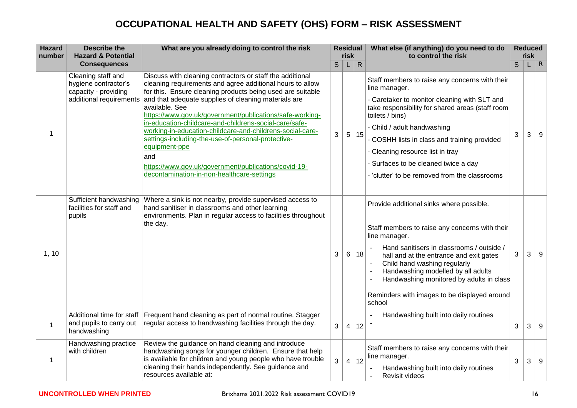| <b>Hazard</b><br>number | <b>Describe the</b><br><b>Hazard &amp; Potential</b>                                          | What are you already doing to control the risk                                                                                                                                                                                                                                                                                                                                                                                                                                                                                                                                                                                        |              | <b>Residual</b><br>risk |              | What else (if anything) do you need to do<br>to control the risk                                                                                                                                                                                                                                                                                                                                   | <b>Reduced</b><br>risk |   |          |
|-------------------------|-----------------------------------------------------------------------------------------------|---------------------------------------------------------------------------------------------------------------------------------------------------------------------------------------------------------------------------------------------------------------------------------------------------------------------------------------------------------------------------------------------------------------------------------------------------------------------------------------------------------------------------------------------------------------------------------------------------------------------------------------|--------------|-------------------------|--------------|----------------------------------------------------------------------------------------------------------------------------------------------------------------------------------------------------------------------------------------------------------------------------------------------------------------------------------------------------------------------------------------------------|------------------------|---|----------|
|                         | <b>Consequences</b>                                                                           |                                                                                                                                                                                                                                                                                                                                                                                                                                                                                                                                                                                                                                       | $\mathsf{S}$ | L                       | $\mathsf{R}$ |                                                                                                                                                                                                                                                                                                                                                                                                    | S                      |   | $\mid R$ |
| 1                       | Cleaning staff and<br>hygiene contractor's<br>capacity - providing<br>additional requirements | Discuss with cleaning contractors or staff the additional<br>cleaning requirements and agree additional hours to allow<br>for this. Ensure cleaning products being used are suitable<br>and that adequate supplies of cleaning materials are<br>available. See<br>https://www.gov.uk/government/publications/safe-working-<br>in-education-childcare-and-childrens-social-care/safe-<br>working-in-education-childcare-and-childrens-social-care-<br>settings-including-the-use-of-personal-protective-<br>equipment-ppe<br>and<br>https://www.gov.uk/government/publications/covid-19-<br>decontamination-in-non-healthcare-settings | 3            | $5\overline{)}$         | 15           | Staff members to raise any concerns with their<br>line manager.<br>- Caretaker to monitor cleaning with SLT and<br>take responsibility for shared areas (staff room<br>toilets / bins)<br>- Child / adult handwashing<br>- COSHH lists in class and training provided<br>- Cleaning resource list in tray<br>- Surfaces to be cleaned twice a day<br>- 'clutter' to be removed from the classrooms | 3                      | 3 | 9        |
| 1, 10                   | Sufficient handwashing<br>facilities for staff and<br>pupils                                  | Where a sink is not nearby, provide supervised access to<br>hand sanitiser in classrooms and other learning<br>environments. Plan in regular access to facilities throughout<br>the day.                                                                                                                                                                                                                                                                                                                                                                                                                                              | 3            | 6                       | 18           | Provide additional sinks where possible.<br>Staff members to raise any concerns with their<br>line manager.<br>Hand sanitisers in classrooms / outside /<br>hall and at the entrance and exit gates<br>Child hand washing regularly<br>Handwashing modelled by all adults<br>Handwashing monitored by adults in class<br>Reminders with images to be displayed around<br>school                    | 3                      | 3 | 9        |
| $\mathbf{1}$            | Additional time for staff<br>and pupils to carry out<br>handwashing                           | Frequent hand cleaning as part of normal routine. Stagger<br>regular access to handwashing facilities through the day.                                                                                                                                                                                                                                                                                                                                                                                                                                                                                                                | 3            | 4                       | 12           | Handwashing built into daily routines                                                                                                                                                                                                                                                                                                                                                              | 3                      | 3 | 9        |
| 1                       | Handwashing practice<br>with children                                                         | Review the guidance on hand cleaning and introduce<br>handwashing songs for younger children. Ensure that help<br>is available for children and young people who have trouble<br>cleaning their hands independently. See guidance and<br>resources available at:                                                                                                                                                                                                                                                                                                                                                                      | 3            |                         | 4 12         | Staff members to raise any concerns with their<br>line manager.<br>Handwashing built into daily routines<br>Revisit videos                                                                                                                                                                                                                                                                         | $\mathbf{3}$           | 3 | 9        |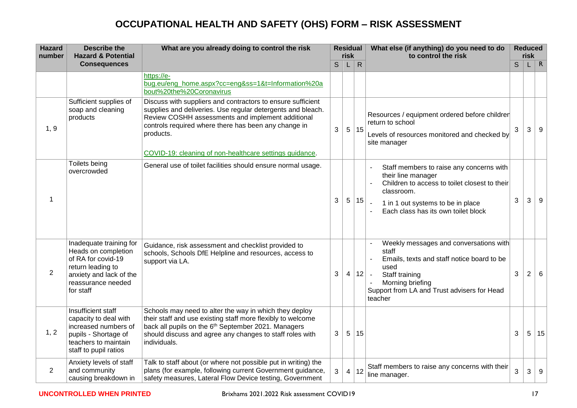| <b>Hazard</b><br>number | <b>Describe the</b><br><b>Hazard &amp; Potential</b>                                                                                                    | What are you already doing to control the risk                                                                                                                                                                                                                       |   | <b>Residual</b><br>risk |              | What else (if anything) do you need to do<br>to control the risk                                                                                                                                                |   | <b>Reduced</b><br>risk |              |
|-------------------------|---------------------------------------------------------------------------------------------------------------------------------------------------------|----------------------------------------------------------------------------------------------------------------------------------------------------------------------------------------------------------------------------------------------------------------------|---|-------------------------|--------------|-----------------------------------------------------------------------------------------------------------------------------------------------------------------------------------------------------------------|---|------------------------|--------------|
|                         | <b>Consequences</b>                                                                                                                                     |                                                                                                                                                                                                                                                                      | S |                         | $\mathsf{R}$ |                                                                                                                                                                                                                 | S |                        | $\mathsf{R}$ |
|                         |                                                                                                                                                         | https://e-<br>bug.eu/eng_home.aspx?cc=eng&ss=1&t=Information%20a<br>bout%20the%20Coronavirus                                                                                                                                                                         |   |                         |              |                                                                                                                                                                                                                 |   |                        |              |
| 1, 9                    | Sufficient supplies of<br>soap and cleaning<br>products                                                                                                 | Discuss with suppliers and contractors to ensure sufficient<br>supplies and deliveries. Use regular detergents and bleach.<br>Review COSHH assessments and implement additional<br>controls required where there has been any change in<br>products.                 | 3 | 5 <sup>2</sup>          | 15           | Resources / equipment ordered before children<br>return to school<br>Levels of resources monitored and checked by<br>site manager                                                                               | 3 | 3                      | 9            |
|                         |                                                                                                                                                         | COVID-19: cleaning of non-healthcare settings guidance.                                                                                                                                                                                                              |   |                         |              |                                                                                                                                                                                                                 |   |                        |              |
| 1                       | Toilets being<br>overcrowded                                                                                                                            | General use of toilet facilities should ensure normal usage.                                                                                                                                                                                                         | 3 | $5\overline{)}$         | 15           | Staff members to raise any concerns with<br>their line manager<br>Children to access to toilet closest to their<br>classroom.<br>1 in 1 out systems to be in place<br>Each class has its own toilet block       | 3 | 3                      | 9            |
| $\overline{2}$          | Inadequate training for<br>Heads on completion<br>of RA for covid-19<br>return leading to<br>anxiety and lack of the<br>reassurance needed<br>for staff | Guidance, risk assessment and checklist provided to<br>schools, Schools DfE Helpline and resources, access to<br>support via LA.                                                                                                                                     | 3 | $\overline{4}$          |              | Weekly messages and conversations with<br>staff<br>Emails, texts and staff notice board to be<br>used<br>$12$ .<br>Staff training<br>Morning briefing<br>Support from LA and Trust advisers for Head<br>teacher | 3 | $\overline{2}$         | 6            |
| 1, 2                    | Insufficient staff<br>capacity to deal with<br>increased numbers of<br>pupils - Shortage of<br>teachers to maintain<br>staff to pupil ratios            | Schools may need to alter the way in which they deploy<br>their staff and use existing staff more flexibly to welcome<br>back all pupils on the 6 <sup>th</sup> September 2021. Managers<br>should discuss and agree any changes to staff roles with<br>individuals. | 3 | 5                       | 15           |                                                                                                                                                                                                                 | 3 | 5 <sup>1</sup>         | 15           |
| 2                       | Anxiety levels of staff<br>and community<br>causing breakdown in                                                                                        | Talk to staff about (or where not possible put in writing) the<br>plans (for example, following current Government guidance,<br>safety measures, Lateral Flow Device testing, Government                                                                             | 3 | $\overline{4}$          | 12           | Staff members to raise any concerns with their<br>line manager.                                                                                                                                                 | 3 | 3                      | 9            |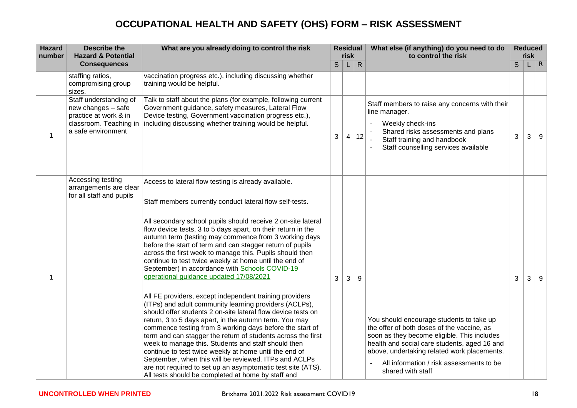| <b>Hazard</b><br>number | <b>Describe the</b><br><b>Hazard &amp; Potential</b>                                                                  | What are you already doing to control the risk                                                                                                                                                                                                                                                                                                                                                                                                                                                                                                                                                                                                                                                                                                                                                                                                                                                                                                                                                                                                                                                                                                                                                                                                                      |              | <b>Residual</b><br>risk |              | What else (if anything) do you need to do<br>to control the risk                                                                                                                                                                                                                                      |   | <b>Reduced</b><br>risk |          |
|-------------------------|-----------------------------------------------------------------------------------------------------------------------|---------------------------------------------------------------------------------------------------------------------------------------------------------------------------------------------------------------------------------------------------------------------------------------------------------------------------------------------------------------------------------------------------------------------------------------------------------------------------------------------------------------------------------------------------------------------------------------------------------------------------------------------------------------------------------------------------------------------------------------------------------------------------------------------------------------------------------------------------------------------------------------------------------------------------------------------------------------------------------------------------------------------------------------------------------------------------------------------------------------------------------------------------------------------------------------------------------------------------------------------------------------------|--------------|-------------------------|--------------|-------------------------------------------------------------------------------------------------------------------------------------------------------------------------------------------------------------------------------------------------------------------------------------------------------|---|------------------------|----------|
|                         | <b>Consequences</b>                                                                                                   |                                                                                                                                                                                                                                                                                                                                                                                                                                                                                                                                                                                                                                                                                                                                                                                                                                                                                                                                                                                                                                                                                                                                                                                                                                                                     | $\mathsf{S}$ | L                       | $\mathsf{R}$ |                                                                                                                                                                                                                                                                                                       | S |                        | $\mid R$ |
|                         | staffing ratios,<br>compromising group<br>sizes.                                                                      | vaccination progress etc.), including discussing whether<br>training would be helpful.                                                                                                                                                                                                                                                                                                                                                                                                                                                                                                                                                                                                                                                                                                                                                                                                                                                                                                                                                                                                                                                                                                                                                                              |              |                         |              |                                                                                                                                                                                                                                                                                                       |   |                        |          |
| 1                       | Staff understanding of<br>new changes - safe<br>practice at work & in<br>classroom. Teaching in<br>a safe environment | Talk to staff about the plans (for example, following current<br>Government guidance, safety measures, Lateral Flow<br>Device testing, Government vaccination progress etc.),<br>including discussing whether training would be helpful.                                                                                                                                                                                                                                                                                                                                                                                                                                                                                                                                                                                                                                                                                                                                                                                                                                                                                                                                                                                                                            | 3            | $\overline{4}$          | 12           | Staff members to raise any concerns with their<br>line manager.<br>Weekly check-ins<br>Shared risks assessments and plans<br>Staff training and handbook<br>Staff counselling services available                                                                                                      | 3 | 3                      | 9        |
|                         | Accessing testing<br>arrangements are clear<br>for all staff and pupils                                               | Access to lateral flow testing is already available.<br>Staff members currently conduct lateral flow self-tests.<br>All secondary school pupils should receive 2 on-site lateral<br>flow device tests, 3 to 5 days apart, on their return in the<br>autumn term (testing may commence from 3 working days<br>before the start of term and can stagger return of pupils<br>across the first week to manage this. Pupils should then<br>continue to test twice weekly at home until the end of<br>September) in accordance with Schools COVID-19<br>operational guidance updated 17/08/2021<br>All FE providers, except independent training providers<br>(ITPs) and adult community learning providers (ACLPs),<br>should offer students 2 on-site lateral flow device tests on<br>return, 3 to 5 days apart, in the autumn term. You may<br>commence testing from 3 working days before the start of<br>term and can stagger the return of students across the first<br>week to manage this. Students and staff should then<br>continue to test twice weekly at home until the end of<br>September, when this will be reviewed. ITPs and ACLPs<br>are not required to set up an asymptomatic test site (ATS).<br>All tests should be completed at home by staff and | 3            | 3                       | 9            | You should encourage students to take up<br>the offer of both doses of the vaccine, as<br>soon as they become eligible. This includes<br>health and social care students, aged 16 and<br>above, undertaking related work placements.<br>All information / risk assessments to be<br>shared with staff | 3 | 3                      | 9        |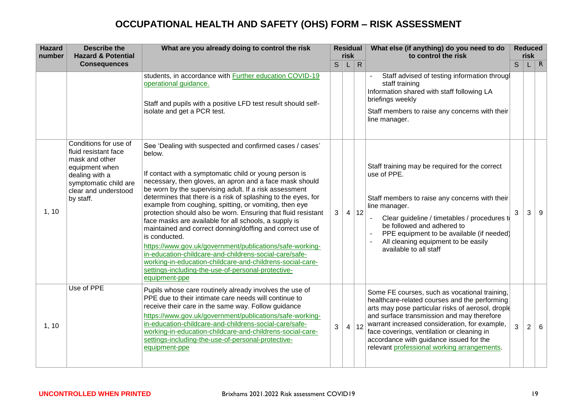| <b>Hazard</b><br>number | <b>Describe the</b><br><b>Hazard &amp; Potential</b>                                                                                                              | What are you already doing to control the risk                                                                                                                                                                                                                                                                                                                                                                                                                                                                                                                                                                                                                                                                                                                                                                                                 |    | <b>Residual</b><br>risk |              | What else (if anything) do you need to do<br>to control the risk                                                                                                                                                                                                                                                                                                                           |   | <b>Reduced</b><br>risk |     |
|-------------------------|-------------------------------------------------------------------------------------------------------------------------------------------------------------------|------------------------------------------------------------------------------------------------------------------------------------------------------------------------------------------------------------------------------------------------------------------------------------------------------------------------------------------------------------------------------------------------------------------------------------------------------------------------------------------------------------------------------------------------------------------------------------------------------------------------------------------------------------------------------------------------------------------------------------------------------------------------------------------------------------------------------------------------|----|-------------------------|--------------|--------------------------------------------------------------------------------------------------------------------------------------------------------------------------------------------------------------------------------------------------------------------------------------------------------------------------------------------------------------------------------------------|---|------------------------|-----|
|                         | <b>Consequences</b>                                                                                                                                               |                                                                                                                                                                                                                                                                                                                                                                                                                                                                                                                                                                                                                                                                                                                                                                                                                                                | S. | L.                      | $\mathsf{R}$ |                                                                                                                                                                                                                                                                                                                                                                                            | S |                        | L R |
|                         |                                                                                                                                                                   | students, in accordance with <b>Further education COVID-19</b><br>operational guidance.<br>Staff and pupils with a positive LFD test result should self-<br>isolate and get a PCR test.                                                                                                                                                                                                                                                                                                                                                                                                                                                                                                                                                                                                                                                        |    |                         |              | Staff advised of testing information througl<br>staff training<br>Information shared with staff following LA<br>briefings weekly<br>Staff members to raise any concerns with their<br>line manager.                                                                                                                                                                                        |   |                        |     |
| 1, 10                   | Conditions for use of<br>fluid resistant face<br>mask and other<br>equipment when<br>dealing with a<br>symptomatic child are<br>clear and understood<br>by staff. | See 'Dealing with suspected and confirmed cases / cases'<br>below.<br>If contact with a symptomatic child or young person is<br>necessary, then gloves, an apron and a face mask should<br>be worn by the supervising adult. If a risk assessment<br>determines that there is a risk of splashing to the eyes, for<br>example from coughing, spitting, or vomiting, then eye<br>protection should also be worn. Ensuring that fluid resistant<br>face masks are available for all schools, a supply is<br>maintained and correct donning/doffing and correct use of<br>is conducted.<br>https://www.gov.uk/government/publications/safe-working-<br>in-education-childcare-and-childrens-social-care/safe-<br>working-in-education-childcare-and-childrens-social-care-<br>settings-including-the-use-of-personal-protective-<br>equipment-ppe | 3  | $\overline{4}$          | 12           | Staff training may be required for the correct<br>use of PPE.<br>Staff members to raise any concerns with their<br>line manager.<br>Clear guideline / timetables / procedures to<br>be followed and adhered to<br>PPE equipment to be available (if needed)<br>All cleaning equipment to be easily<br>available to all staff                                                               | 3 | 3                      | 9   |
| 1, 10                   | Use of PPE                                                                                                                                                        | Pupils whose care routinely already involves the use of<br>PPE due to their intimate care needs will continue to<br>receive their care in the same way. Follow guidance<br>https://www.gov.uk/government/publications/safe-working-<br>in-education-childcare-and-childrens-social-care/safe-<br>working-in-education-childcare-and-childrens-social-care-<br>settings-including-the-use-of-personal-protective-<br>equipment-ppe                                                                                                                                                                                                                                                                                                                                                                                                              | 3  | 4                       | $\vert$ 12   | Some FE courses, such as vocational training,<br>healthcare-related courses and the performing<br>arts may pose particular risks of aerosol, drople<br>and surface transmission and may therefore<br>warrant increased consideration, for example,<br>face coverings, ventilation or cleaning in<br>accordance with guidance issued for the<br>relevant professional working arrangements. | 3 | $\overline{2}$         | 6   |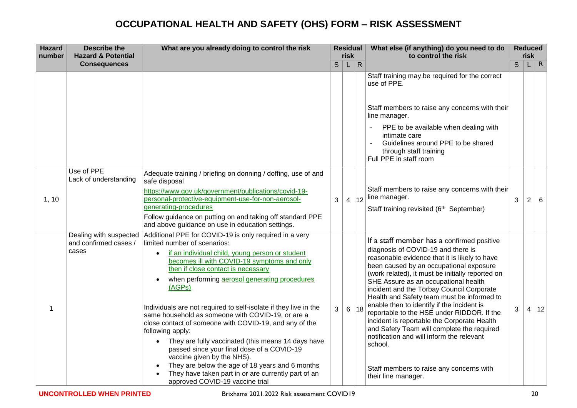| <b>Hazard</b><br>number | <b>Describe the</b><br><b>Hazard &amp; Potential</b>     | What are you already doing to control the risk                                                                                                                                                                                                                                                                                                                                                                                                                                                                                                                                                                                                                                                                                                                                  |              | <b>Residual</b><br>risk |              | What else (if anything) do you need to do<br>to control the risk                                                                                                                                                                                                                                                                                                                                                                                                                                                                                                                                                                                                                        |   | <b>Reduced</b><br><b>risk</b> |          |
|-------------------------|----------------------------------------------------------|---------------------------------------------------------------------------------------------------------------------------------------------------------------------------------------------------------------------------------------------------------------------------------------------------------------------------------------------------------------------------------------------------------------------------------------------------------------------------------------------------------------------------------------------------------------------------------------------------------------------------------------------------------------------------------------------------------------------------------------------------------------------------------|--------------|-------------------------|--------------|-----------------------------------------------------------------------------------------------------------------------------------------------------------------------------------------------------------------------------------------------------------------------------------------------------------------------------------------------------------------------------------------------------------------------------------------------------------------------------------------------------------------------------------------------------------------------------------------------------------------------------------------------------------------------------------------|---|-------------------------------|----------|
|                         | <b>Consequences</b>                                      |                                                                                                                                                                                                                                                                                                                                                                                                                                                                                                                                                                                                                                                                                                                                                                                 | $\mathsf{S}$ | L                       | $\mathsf{R}$ |                                                                                                                                                                                                                                                                                                                                                                                                                                                                                                                                                                                                                                                                                         | S |                               | $\mid R$ |
|                         |                                                          |                                                                                                                                                                                                                                                                                                                                                                                                                                                                                                                                                                                                                                                                                                                                                                                 |              |                         |              | Staff training may be required for the correct<br>use of PPE.<br>Staff members to raise any concerns with their<br>line manager.<br>PPE to be available when dealing with<br>intimate care<br>Guidelines around PPE to be shared<br>through staff training<br>Full PPE in staff room                                                                                                                                                                                                                                                                                                                                                                                                    |   |                               |          |
| 1, 10                   | Use of PPE<br>Lack of understanding                      | Adequate training / briefing on donning / doffing, use of and<br>safe disposal<br>https://www.gov.uk/government/publications/covid-19-<br>personal-protective-equipment-use-for-non-aerosol-<br>generating-procedures<br>Follow guidance on putting on and taking off standard PPE<br>and above guidance on use in education settings.                                                                                                                                                                                                                                                                                                                                                                                                                                          | 3            |                         | 4 12         | Staff members to raise any concerns with their<br>line manager.<br>Staff training revisited (6 <sup>th</sup> September)                                                                                                                                                                                                                                                                                                                                                                                                                                                                                                                                                                 | 3 | $\overline{2}$                | 6        |
| 1                       | Dealing with suspected<br>and confirmed cases /<br>cases | Additional PPE for COVID-19 is only required in a very<br>limited number of scenarios:<br>if an individual child, young person or student<br>becomes ill with COVID-19 symptoms and only<br>then if close contact is necessary<br>when performing aerosol generating procedures<br>(AGPs)<br>Individuals are not required to self-isolate if they live in the<br>same household as someone with COVID-19, or are a<br>close contact of someone with COVID-19, and any of the<br>following apply:<br>They are fully vaccinated (this means 14 days have<br>passed since your final dose of a COVID-19<br>vaccine given by the NHS).<br>They are below the age of 18 years and 6 months<br>They have taken part in or are currently part of an<br>approved COVID-19 vaccine trial | 3            |                         | 6 18         | If a staff member has a confirmed positive<br>diagnosis of COVID-19 and there is<br>reasonable evidence that it is likely to have<br>been caused by an occupational exposure<br>(work related), it must be initially reported on<br>SHE Assure as an occupational health<br>incident and the Torbay Council Corporate<br>Health and Safety team must be informed to<br>enable then to identify if the incident is<br>reportable to the HSE under RIDDOR. If the<br>incident is reportable the Corporate Health<br>and Safety Team will complete the required<br>notification and will inform the relevant<br>school.<br>Staff members to raise any concerns with<br>their line manager. | 3 |                               | 4 12     |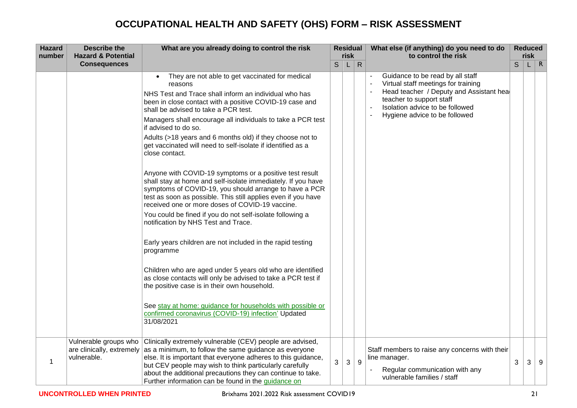| <b>Hazard</b><br>number | <b>Describe the</b><br><b>Hazard &amp; Potential</b>              | What are you already doing to control the risk                                                                                                                                                                                                                                                                                                                                                                                                                                                                                                                                                                                                                                                                                                                                                                                                                                                                                                                                                                                                                                                                                                                                                                                                                       |   | <b>Residual</b><br>risk |              | What else (if anything) do you need to do<br>to control the risk                                                                                                                                                   |   | <b>Reduced</b><br><u>risk</u> |              |
|-------------------------|-------------------------------------------------------------------|----------------------------------------------------------------------------------------------------------------------------------------------------------------------------------------------------------------------------------------------------------------------------------------------------------------------------------------------------------------------------------------------------------------------------------------------------------------------------------------------------------------------------------------------------------------------------------------------------------------------------------------------------------------------------------------------------------------------------------------------------------------------------------------------------------------------------------------------------------------------------------------------------------------------------------------------------------------------------------------------------------------------------------------------------------------------------------------------------------------------------------------------------------------------------------------------------------------------------------------------------------------------|---|-------------------------|--------------|--------------------------------------------------------------------------------------------------------------------------------------------------------------------------------------------------------------------|---|-------------------------------|--------------|
|                         | <b>Consequences</b>                                               |                                                                                                                                                                                                                                                                                                                                                                                                                                                                                                                                                                                                                                                                                                                                                                                                                                                                                                                                                                                                                                                                                                                                                                                                                                                                      | S | L                       | $\mathsf{R}$ |                                                                                                                                                                                                                    | S |                               | $\mathsf{R}$ |
|                         |                                                                   | They are not able to get vaccinated for medical<br>reasons<br>NHS Test and Trace shall inform an individual who has<br>been in close contact with a positive COVID-19 case and<br>shall be advised to take a PCR test.<br>Managers shall encourage all individuals to take a PCR test<br>if advised to do so.<br>Adults (>18 years and 6 months old) if they choose not to<br>get vaccinated will need to self-isolate if identified as a<br>close contact.<br>Anyone with COVID-19 symptoms or a positive test result<br>shall stay at home and self-isolate immediately. If you have<br>symptoms of COVID-19, you should arrange to have a PCR<br>test as soon as possible. This still applies even if you have<br>received one or more doses of COVID-19 vaccine.<br>You could be fined if you do not self-isolate following a<br>notification by NHS Test and Trace.<br>Early years children are not included in the rapid testing<br>programme<br>Children who are aged under 5 years old who are identified<br>as close contacts will only be advised to take a PCR test if<br>the positive case is in their own household.<br>See stay at home: guidance for households with possible or<br>confirmed coronavirus (COVID-19) infection' Updated<br>31/08/2021 |   |                         |              | Guidance to be read by all staff<br>Virtual staff meetings for training<br>Head teacher / Deputy and Assistant hea<br>teacher to support staff<br>Isolation advice to be followed<br>Hygiene advice to be followed |   |                               |              |
| 1                       | Vulnerable groups who<br>are clinically, extremely<br>vulnerable. | Clinically extremely vulnerable (CEV) people are advised,<br>as a minimum, to follow the same guidance as everyone<br>else. It is important that everyone adheres to this guidance,<br>but CEV people may wish to think particularly carefully<br>about the additional precautions they can continue to take.<br>Further information can be found in the guidance on                                                                                                                                                                                                                                                                                                                                                                                                                                                                                                                                                                                                                                                                                                                                                                                                                                                                                                 | 3 | 3                       | 9            | Staff members to raise any concerns with their<br>line manager.<br>Regular communication with any<br>vulnerable families / staff                                                                                   | 3 | 3                             | 9            |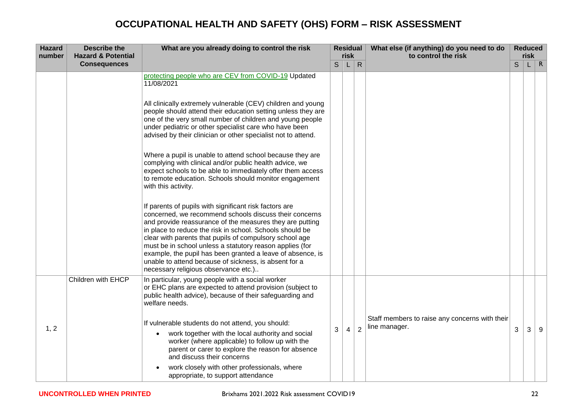| <b>Hazard</b><br>number | <b>Describe the</b><br><b>Hazard &amp; Potential</b> | What are you already doing to control the risk                                                                                                                                                                                                                                                                                                                                                                                                                                                                                 |   | <b>Residual</b><br>risk |                | What else (if anything) do you need to do<br>to control the risk |   | <b>Reduced</b><br><b>risk</b> |              |
|-------------------------|------------------------------------------------------|--------------------------------------------------------------------------------------------------------------------------------------------------------------------------------------------------------------------------------------------------------------------------------------------------------------------------------------------------------------------------------------------------------------------------------------------------------------------------------------------------------------------------------|---|-------------------------|----------------|------------------------------------------------------------------|---|-------------------------------|--------------|
|                         | <b>Consequences</b>                                  |                                                                                                                                                                                                                                                                                                                                                                                                                                                                                                                                | S | L                       | $\mathsf{R}$   |                                                                  | S |                               | $\mathsf{R}$ |
|                         |                                                      | protecting people who are CEV from COVID-19 Updated<br>11/08/2021                                                                                                                                                                                                                                                                                                                                                                                                                                                              |   |                         |                |                                                                  |   |                               |              |
|                         |                                                      | All clinically extremely vulnerable (CEV) children and young<br>people should attend their education setting unless they are<br>one of the very small number of children and young people<br>under pediatric or other specialist care who have been<br>advised by their clinician or other specialist not to attend.                                                                                                                                                                                                           |   |                         |                |                                                                  |   |                               |              |
|                         |                                                      | Where a pupil is unable to attend school because they are<br>complying with clinical and/or public health advice, we<br>expect schools to be able to immediately offer them access<br>to remote education. Schools should monitor engagement<br>with this activity.                                                                                                                                                                                                                                                            |   |                         |                |                                                                  |   |                               |              |
|                         |                                                      | If parents of pupils with significant risk factors are<br>concerned, we recommend schools discuss their concerns<br>and provide reassurance of the measures they are putting<br>in place to reduce the risk in school. Schools should be<br>clear with parents that pupils of compulsory school age<br>must be in school unless a statutory reason applies (for<br>example, the pupil has been granted a leave of absence, is<br>unable to attend because of sickness, is absent for a<br>necessary religious observance etc.) |   |                         |                |                                                                  |   |                               |              |
|                         | Children with EHCP                                   | In particular, young people with a social worker<br>or EHC plans are expected to attend provision (subject to<br>public health advice), because of their safeguarding and<br>welfare needs.                                                                                                                                                                                                                                                                                                                                    |   |                         |                |                                                                  |   |                               |              |
| 1, 2                    |                                                      | If vulnerable students do not attend, you should:<br>work together with the local authority and social<br>worker (where applicable) to follow up with the<br>parent or carer to explore the reason for absence<br>and discuss their concerns<br>work closely with other professionals, where<br>appropriate, to support attendance                                                                                                                                                                                             | 3 | $\overline{4}$          | $\overline{2}$ | Staff members to raise any concerns with their<br>line manager.  | 3 | 3                             | 9            |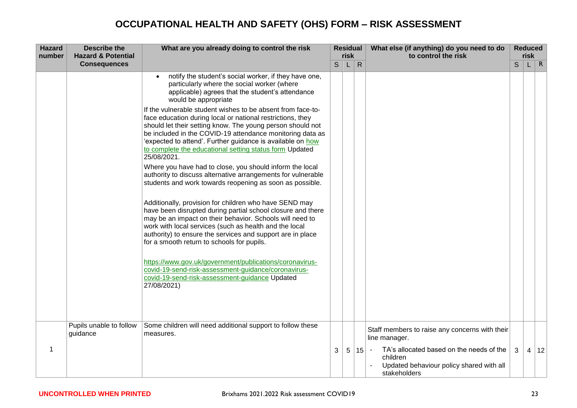| <b>Hazard</b><br>number | <b>Describe the</b><br><b>Hazard &amp; Potential</b> | What are you already doing to control the risk                                                                                                                                                                                                                                                                                                                                               |    | <b>Residual</b><br>risk |              | What else (if anything) do you need to do<br>to control the risk                                                                             | <b>Reduced</b><br>risk |  |            |
|-------------------------|------------------------------------------------------|----------------------------------------------------------------------------------------------------------------------------------------------------------------------------------------------------------------------------------------------------------------------------------------------------------------------------------------------------------------------------------------------|----|-------------------------|--------------|----------------------------------------------------------------------------------------------------------------------------------------------|------------------------|--|------------|
|                         | <b>Consequences</b>                                  |                                                                                                                                                                                                                                                                                                                                                                                              | S. | L                       | $\mathsf{R}$ |                                                                                                                                              | S                      |  | $L \mid R$ |
|                         |                                                      | notify the student's social worker, if they have one,<br>particularly where the social worker (where<br>applicable) agrees that the student's attendance<br>would be appropriate                                                                                                                                                                                                             |    |                         |              |                                                                                                                                              |                        |  |            |
|                         |                                                      | If the vulnerable student wishes to be absent from face-to-<br>face education during local or national restrictions, they<br>should let their setting know. The young person should not<br>be included in the COVID-19 attendance monitoring data as<br>'expected to attend'. Further guidance is available on how<br>to complete the educational setting status form Updated<br>25/08/2021. |    |                         |              |                                                                                                                                              |                        |  |            |
|                         |                                                      | Where you have had to close, you should inform the local<br>authority to discuss alternative arrangements for vulnerable<br>students and work towards reopening as soon as possible.                                                                                                                                                                                                         |    |                         |              |                                                                                                                                              |                        |  |            |
|                         |                                                      | Additionally, provision for children who have SEND may<br>have been disrupted during partial school closure and there<br>may be an impact on their behavior. Schools will need to<br>work with local services (such as health and the local<br>authority) to ensure the services and support are in place<br>for a smooth return to schools for pupils.                                      |    |                         |              |                                                                                                                                              |                        |  |            |
|                         |                                                      | https://www.gov.uk/government/publications/coronavirus-<br>covid-19-send-risk-assessment-guidance/coronavirus-<br>covid-19-send-risk-assessment-guidance Updated<br>27/08/2021)                                                                                                                                                                                                              |    |                         |              |                                                                                                                                              |                        |  |            |
|                         | Pupils unable to follow<br>guidance                  | Some children will need additional support to follow these<br>measures.                                                                                                                                                                                                                                                                                                                      |    |                         |              | Staff members to raise any concerns with their<br>line manager.                                                                              |                        |  |            |
| 1                       |                                                      |                                                                                                                                                                                                                                                                                                                                                                                              | 3  | 5 <sup>5</sup>          | 15           | TA's allocated based on the needs of the<br>$\overline{\phantom{a}}$<br>children<br>Updated behaviour policy shared with all<br>stakeholders | 3                      |  | 4 12       |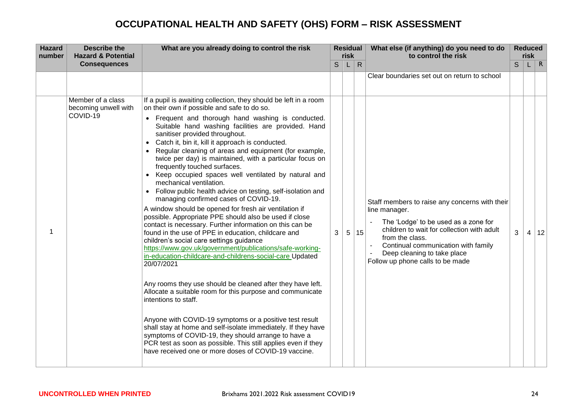| <b>Hazard</b><br>number | <b>Describe the</b><br><b>Hazard &amp; Potential</b>  | What are you already doing to control the risk                                                                                                                                                                                                                                                                                                                                                                                                                                                                                                                                                                                                                                                                                                                                                                                                                                                                                                                                                                                                                                                                                                                                                                                                                                                                                                                                                                                                                                                                                                               | <b>Residual</b><br>risk |   |              | What else (if anything) do you need to do<br>to control the risk                                                                                                                                                                                                                   |   | <b>Reduced</b><br>risk |      |
|-------------------------|-------------------------------------------------------|--------------------------------------------------------------------------------------------------------------------------------------------------------------------------------------------------------------------------------------------------------------------------------------------------------------------------------------------------------------------------------------------------------------------------------------------------------------------------------------------------------------------------------------------------------------------------------------------------------------------------------------------------------------------------------------------------------------------------------------------------------------------------------------------------------------------------------------------------------------------------------------------------------------------------------------------------------------------------------------------------------------------------------------------------------------------------------------------------------------------------------------------------------------------------------------------------------------------------------------------------------------------------------------------------------------------------------------------------------------------------------------------------------------------------------------------------------------------------------------------------------------------------------------------------------------|-------------------------|---|--------------|------------------------------------------------------------------------------------------------------------------------------------------------------------------------------------------------------------------------------------------------------------------------------------|---|------------------------|------|
|                         | <b>Consequences</b>                                   |                                                                                                                                                                                                                                                                                                                                                                                                                                                                                                                                                                                                                                                                                                                                                                                                                                                                                                                                                                                                                                                                                                                                                                                                                                                                                                                                                                                                                                                                                                                                                              | $\mathsf{S}$            | L | $\mathsf{R}$ |                                                                                                                                                                                                                                                                                    | S |                        | L R  |
|                         |                                                       |                                                                                                                                                                                                                                                                                                                                                                                                                                                                                                                                                                                                                                                                                                                                                                                                                                                                                                                                                                                                                                                                                                                                                                                                                                                                                                                                                                                                                                                                                                                                                              |                         |   |              | Clear boundaries set out on return to school                                                                                                                                                                                                                                       |   |                        |      |
|                         | Member of a class<br>becoming unwell with<br>COVID-19 | If a pupil is awaiting collection, they should be left in a room<br>on their own if possible and safe to do so.<br>• Frequent and thorough hand washing is conducted.<br>Suitable hand washing facilities are provided. Hand<br>sanitiser provided throughout.<br>Catch it, bin it, kill it approach is conducted.<br>Regular cleaning of areas and equipment (for example,<br>twice per day) is maintained, with a particular focus on<br>frequently touched surfaces.<br>• Keep occupied spaces well ventilated by natural and<br>mechanical ventilation.<br>• Follow public health advice on testing, self-isolation and<br>managing confirmed cases of COVID-19.<br>A window should be opened for fresh air ventilation if<br>possible. Appropriate PPE should also be used if close<br>contact is necessary. Further information on this can be<br>found in the use of PPE in education, childcare and<br>children's social care settings guidance<br>https://www.gov.uk/government/publications/safe-working-<br>in-education-childcare-and-childrens-social-care Updated<br>20/07/2021<br>Any rooms they use should be cleaned after they have left.<br>Allocate a suitable room for this purpose and communicate<br>intentions to staff.<br>Anyone with COVID-19 symptoms or a positive test result<br>shall stay at home and self-isolate immediately. If they have<br>symptoms of COVID-19, they should arrange to have a<br>PCR test as soon as possible. This still applies even if they<br>have received one or more doses of COVID-19 vaccine. | 3                       | 5 | 15           | Staff members to raise any concerns with their<br>line manager.<br>The 'Lodge' to be used as a zone for<br>children to wait for collection with adult<br>from the class.<br>Continual communication with family<br>Deep cleaning to take place<br>Follow up phone calls to be made | 3 |                        | 4 12 |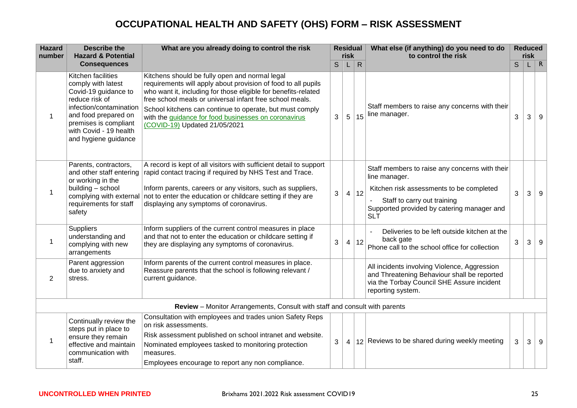| <b>Hazard</b><br>number | <b>Describe the</b><br><b>Hazard &amp; Potential</b>                                                                                                                                                             | What are you already doing to control the risk                                                                                                                                                                                                                                                                                                                                                     | <b>Residual</b><br>risk |                |              | What else (if anything) do you need to do<br>to control the risk                                                                                                                                       |   | <b>Reduced</b><br>risk |              |
|-------------------------|------------------------------------------------------------------------------------------------------------------------------------------------------------------------------------------------------------------|----------------------------------------------------------------------------------------------------------------------------------------------------------------------------------------------------------------------------------------------------------------------------------------------------------------------------------------------------------------------------------------------------|-------------------------|----------------|--------------|--------------------------------------------------------------------------------------------------------------------------------------------------------------------------------------------------------|---|------------------------|--------------|
|                         | <b>Consequences</b>                                                                                                                                                                                              |                                                                                                                                                                                                                                                                                                                                                                                                    | S                       | L              | $\mathsf{R}$ |                                                                                                                                                                                                        | S | L.                     | $\mathsf{R}$ |
| 1                       | Kitchen facilities<br>comply with latest<br>Covid-19 guidance to<br>reduce risk of<br>infection/contamination<br>and food prepared on<br>premises is compliant<br>with Covid - 19 health<br>and hygiene guidance | Kitchens should be fully open and normal legal<br>requirements will apply about provision of food to all pupils<br>who want it, including for those eligible for benefits-related<br>free school meals or universal infant free school meals.<br>School kitchens can continue to operate, but must comply<br>with the guidance for food businesses on coronavirus<br>(COVID-19) Updated 21/05/2021 | 3                       | 5              | 15           | Staff members to raise any concerns with their<br>line manager.                                                                                                                                        | 3 | 3                      | 9            |
| 1                       | Parents, contractors,<br>and other staff entering<br>or working in the<br>building - school<br>complying with external<br>requirements for staff<br>safety                                                       | A record is kept of all visitors with sufficient detail to support<br>rapid contact tracing if required by NHS Test and Trace.<br>Inform parents, careers or any visitors, such as suppliers,<br>not to enter the education or childcare setting if they are<br>displaying any symptoms of coronavirus.                                                                                            | 3                       | $\overline{4}$ | 12           | Staff members to raise any concerns with their<br>line manager.<br>Kitchen risk assessments to be completed<br>Staff to carry out training<br>Supported provided by catering manager and<br><b>SLT</b> | 3 | 3                      | 9            |
| 1                       | <b>Suppliers</b><br>understanding and<br>complying with new<br>arrangements                                                                                                                                      | Inform suppliers of the current control measures in place<br>and that not to enter the education or childcare setting if<br>they are displaying any symptoms of coronavirus.                                                                                                                                                                                                                       | 3                       | $\overline{4}$ | 12           | Deliveries to be left outside kitchen at the<br>back gate<br>Phone call to the school office for collection                                                                                            | 3 | 3                      | 9            |
| 2                       | Parent aggression<br>due to anxiety and<br>stress.                                                                                                                                                               | Inform parents of the current control measures in place.<br>Reassure parents that the school is following relevant /<br>current guidance.                                                                                                                                                                                                                                                          |                         |                |              | All incidents involving Violence, Aggression<br>and Threatening Behaviour shall be reported<br>via the Torbay Council SHE Assure incident<br>reporting system.                                         |   |                        |              |
|                         |                                                                                                                                                                                                                  | Review - Monitor Arrangements, Consult with staff and consult with parents                                                                                                                                                                                                                                                                                                                         |                         |                |              |                                                                                                                                                                                                        |   |                        |              |
|                         | Continually review the<br>steps put in place to<br>ensure they remain<br>effective and maintain<br>communication with<br>staff.                                                                                  | Consultation with employees and trades union Safety Reps<br>on risk assessments.<br>Risk assessment published on school intranet and website.<br>Nominated employees tasked to monitoring protection<br>measures.<br>Employees encourage to report any non compliance.                                                                                                                             | 3                       | $\overline{4}$ |              | 12 Reviews to be shared during weekly meeting                                                                                                                                                          | 3 | 3                      | 9            |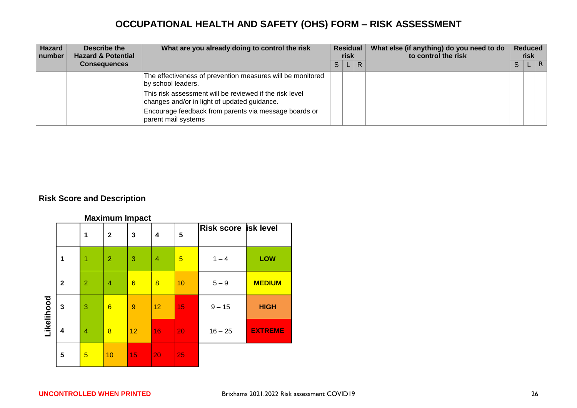| <b>Hazard</b><br>number | Describe the<br><b>Hazard &amp; Potential</b> | What are you already doing to control the risk                                                          | <b>Residual</b><br>risk |  |   |  |   |  |              | What else (if anything) do you need to do<br>to control the risk |  | <b>Reduced</b><br>risk |  |
|-------------------------|-----------------------------------------------|---------------------------------------------------------------------------------------------------------|-------------------------|--|---|--|---|--|--------------|------------------------------------------------------------------|--|------------------------|--|
|                         | <b>Consequences</b>                           |                                                                                                         | S                       |  | R |  | S |  | $\mathsf{R}$ |                                                                  |  |                        |  |
|                         |                                               | The effectiveness of prevention measures will be monitored<br>by school leaders.                        |                         |  |   |  |   |  |              |                                                                  |  |                        |  |
|                         |                                               | This risk assessment will be reviewed if the risk level<br>changes and/or in light of updated guidance. |                         |  |   |  |   |  |              |                                                                  |  |                        |  |
|                         |                                               | Encourage feedback from parents via message boards or<br>parent mail systems                            |                         |  |   |  |   |  |              |                                                                  |  |                        |  |

#### **Risk Score and Description**

|            |              |                | <b>Maximum Impact</b> |                   |                         |    |                      |                |
|------------|--------------|----------------|-----------------------|-------------------|-------------------------|----|----------------------|----------------|
|            |              | 1              | $\mathbf{2}$          | 3                 | $\overline{\mathbf{4}}$ | 5  | Risk score isk level |                |
|            | 1            | 1              | $\overline{2}$        | 3                 | $\overline{4}$          | 5  | $1 - 4$              | LOW            |
|            | $\mathbf{2}$ | $\overline{2}$ | $\overline{4}$        | $6\phantom{1}6$   | $\overline{8}$          | 10 | $5 - 9$              | <b>MEDIUM</b>  |
| Likelihood | $\mathbf{3}$ | 3              | 6                     | 9                 | 12                      | 15 | $9 - 15$             | <b>HIGH</b>    |
|            | 4            | 4              | 8                     | $12 \overline{ }$ | 16                      | 20 | $16 - 25$            | <b>EXTREME</b> |
|            | 5            | 5              | 10                    | 15                | 20                      | 25 |                      |                |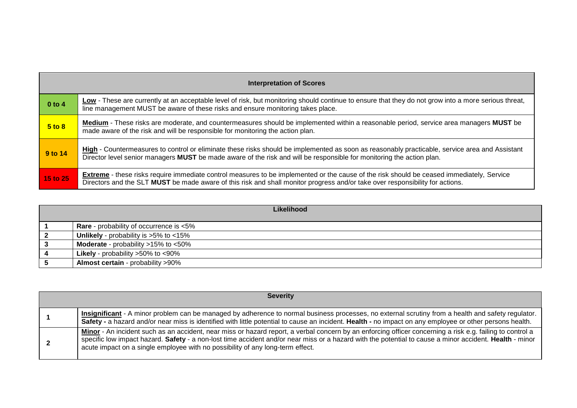|          | <b>Interpretation of Scores</b>                                                                                                                                                                                                                                                   |  |  |  |  |  |  |  |  |  |
|----------|-----------------------------------------------------------------------------------------------------------------------------------------------------------------------------------------------------------------------------------------------------------------------------------|--|--|--|--|--|--|--|--|--|
| $0$ to 4 | Low - These are currently at an acceptable level of risk, but monitoring should continue to ensure that they do not grow into a more serious threat,<br>line management MUST be aware of these risks and ensure monitoring takes place.                                           |  |  |  |  |  |  |  |  |  |
| 5 to 8   | Medium - These risks are moderate, and countermeasures should be implemented within a reasonable period, service area managers MUST be<br>made aware of the risk and will be responsible for monitoring the action plan.                                                          |  |  |  |  |  |  |  |  |  |
| 9 to 14  | High - Countermeasures to control or eliminate these risks should be implemented as soon as reasonably practicable, service area and Assistant<br>Director level senior managers MUST be made aware of the risk and will be responsible for monitoring the action plan.           |  |  |  |  |  |  |  |  |  |
| 15 to 25 | <b>Extreme</b> - these risks require immediate control measures to be implemented or the cause of the risk should be ceased immediately, Service<br>Directors and the SLT MUST be made aware of this risk and shall monitor progress and/or take over responsibility for actions. |  |  |  |  |  |  |  |  |  |

|                | Likelihood                                         |
|----------------|----------------------------------------------------|
|                | <b>Rare</b> - probability of occurrence is <5%     |
| $\overline{2}$ | <b>Unlikely</b> - probability is $>5\%$ to $<15\%$ |
| -3             | <b>Moderate</b> - probability $>15\%$ to $<50\%$   |
|                | <b>Likely</b> - probability $>50\%$ to $<90\%$     |
|                | <b>Almost certain</b> - probability >90%           |

| <b>Severity</b>                                                                                                                                                                                                                                                                                                                                                                                        |
|--------------------------------------------------------------------------------------------------------------------------------------------------------------------------------------------------------------------------------------------------------------------------------------------------------------------------------------------------------------------------------------------------------|
| Insignificant - A minor problem can be managed by adherence to normal business processes, no external scrutiny from a health and safety regulator.<br>Safety - a hazard and/or near miss is identified with little potential to cause an incident. Health - no impact on any employee or other persons health.                                                                                         |
| Minor - An incident such as an accident, near miss or hazard report, a verbal concern by an enforcing officer concerning a risk e.g. failing to control a<br>specific low impact hazard. Safety - a non-lost time accident and/or near miss or a hazard with the potential to cause a minor accident. Health - minor<br>acute impact on a single employee with no possibility of any long-term effect. |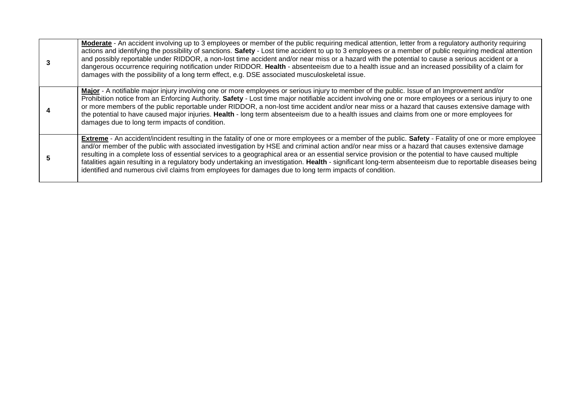| Moderate - An accident involving up to 3 employees or member of the public requiring medical attention, letter from a regulatory authority requiring<br>actions and identifying the possibility of sanctions. Safety - Lost time accident to up to 3 employees or a member of public requiring medical attention<br>and possibly reportable under RIDDOR, a non-lost time accident and/or near miss or a hazard with the potential to cause a serious accident or a<br>dangerous occurrence requiring notification under RIDDOR. Health - absenteeism due to a health issue and an increased possibility of a claim for<br>damages with the possibility of a long term effect, e.g. DSE associated musculoskeletal issue.               |
|-----------------------------------------------------------------------------------------------------------------------------------------------------------------------------------------------------------------------------------------------------------------------------------------------------------------------------------------------------------------------------------------------------------------------------------------------------------------------------------------------------------------------------------------------------------------------------------------------------------------------------------------------------------------------------------------------------------------------------------------|
| Major - A notifiable major injury involving one or more employees or serious injury to member of the public. Issue of an Improvement and/or<br>Prohibition notice from an Enforcing Authority. Safety - Lost time major notifiable accident involving one or more employees or a serious injury to one<br>or more members of the public reportable under RIDDOR, a non-lost time accident and/or near miss or a hazard that causes extensive damage with<br>the potential to have caused major injuries. Health - long term absenteeism due to a health issues and claims from one or more employees for<br>damages due to long term impacts of condition.                                                                              |
| Extreme - An accident/incident resulting in the fatality of one or more employees or a member of the public. Safety - Fatality of one or more employee<br>and/or member of the public with associated investigation by HSE and criminal action and/or near miss or a hazard that causes extensive damage<br>resulting in a complete loss of essential services to a geographical area or an essential service provision or the potential to have caused multiple<br>fatalities again resulting in a regulatory body undertaking an investigation. Health - significant long-term absenteeism due to reportable diseases being<br>identified and numerous civil claims from employees for damages due to long term impacts of condition. |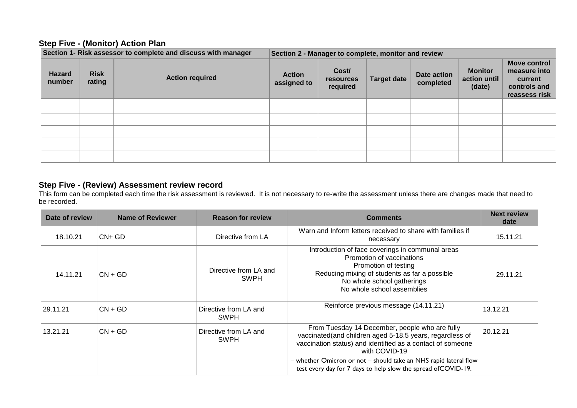#### **Step Five - (Monitor) Action Plan**

| Section 1- Risk assessor to complete and discuss with manager |                       |                        | Section 2 - Manager to complete, monitor and review |                                |                    |                          |                                          |                                                                                 |  |  |
|---------------------------------------------------------------|-----------------------|------------------------|-----------------------------------------------------|--------------------------------|--------------------|--------------------------|------------------------------------------|---------------------------------------------------------------------------------|--|--|
| <b>Hazard</b><br>number                                       | <b>Risk</b><br>rating | <b>Action required</b> | <b>Action</b><br>assigned to                        | Cost/<br>resources<br>required | <b>Target date</b> | Date action<br>completed | <b>Monitor</b><br>action until<br>(date) | <b>Move control</b><br>measure into<br>current<br>controls and<br>reassess risk |  |  |
|                                                               |                       |                        |                                                     |                                |                    |                          |                                          |                                                                                 |  |  |
|                                                               |                       |                        |                                                     |                                |                    |                          |                                          |                                                                                 |  |  |
|                                                               |                       |                        |                                                     |                                |                    |                          |                                          |                                                                                 |  |  |
|                                                               |                       |                        |                                                     |                                |                    |                          |                                          |                                                                                 |  |  |
|                                                               |                       |                        |                                                     |                                |                    |                          |                                          |                                                                                 |  |  |

#### **Step Five - (Review) Assessment review record**

This form can be completed each time the risk assessment is reviewed. It is not necessary to re-write the assessment unless there are changes made that need to be recorded.

| Date of review        | Name of Reviewer | <b>Reason for review</b>             | <b>Comments</b>                                                                                                                                                                                                    | <b>Next review</b><br>date |
|-----------------------|------------------|--------------------------------------|--------------------------------------------------------------------------------------------------------------------------------------------------------------------------------------------------------------------|----------------------------|
| 18.10.21              | $CN+GD$          | Directive from LA                    | Warn and Inform letters received to share with families if<br>necessary                                                                                                                                            | 15.11.21                   |
| 14.11.21              | $CN + GD$        | Directive from LA and<br><b>SWPH</b> | Introduction of face coverings in communal areas<br>Promotion of vaccinations<br>Promotion of testing<br>Reducing mixing of students as far a possible<br>No whole school gatherings<br>No whole school assemblies |                            |
| 29.11.21              | $CN + GD$        | Directive from LA and<br><b>SWPH</b> | Reinforce previous message (14.11.21)                                                                                                                                                                              | 13.12.21                   |
| 13.21.21<br>$CN + GD$ |                  | Directive from LA and<br><b>SWPH</b> | From Tuesday 14 December, people who are fully<br>vaccinated(and children aged 5-18.5 years, regardless of<br>vaccination status) and identified as a contact of someone<br>with COVID-19                          | 20.12.21                   |
|                       |                  |                                      | - whether Omicron or not - should take an NHS rapid lateral flow<br>test every day for 7 days to help slow the spread of COVID-19.                                                                                 |                            |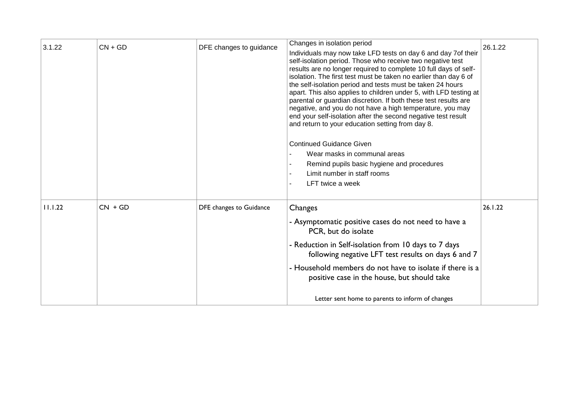| 3.1.22  | $CN + GD$ | DFE changes to guidance | Changes in isolation period<br>Individuals may now take LFD tests on day 6 and day 7of their<br>self-isolation period. Those who receive two negative test<br>results are no longer required to complete 10 full days of self-<br>isolation. The first test must be taken no earlier than day 6 of<br>the self-isolation period and tests must be taken 24 hours<br>apart. This also applies to children under 5, with LFD testing at<br>parental or guardian discretion. If both these test results are<br>negative, and you do not have a high temperature, you may<br>end your self-isolation after the second negative test result<br>and return to your education setting from day 8.<br><b>Continued Guidance Given</b><br>Wear masks in communal areas<br>Remind pupils basic hygiene and procedures<br>Limit number in staff rooms<br>LFT twice a week | 26.1.22 |
|---------|-----------|-------------------------|----------------------------------------------------------------------------------------------------------------------------------------------------------------------------------------------------------------------------------------------------------------------------------------------------------------------------------------------------------------------------------------------------------------------------------------------------------------------------------------------------------------------------------------------------------------------------------------------------------------------------------------------------------------------------------------------------------------------------------------------------------------------------------------------------------------------------------------------------------------|---------|
| 11.1.22 | $CN + GD$ | DFE changes to Guidance | Changes<br>- Asymptomatic positive cases do not need to have a<br>PCR, but do isolate<br>- Reduction in Self-isolation from 10 days to 7 days<br>following negative LFT test results on days 6 and 7<br>- Household members do not have to isolate if there is a<br>positive case in the house, but should take<br>Letter sent home to parents to inform of changes                                                                                                                                                                                                                                                                                                                                                                                                                                                                                            | 26.1.22 |